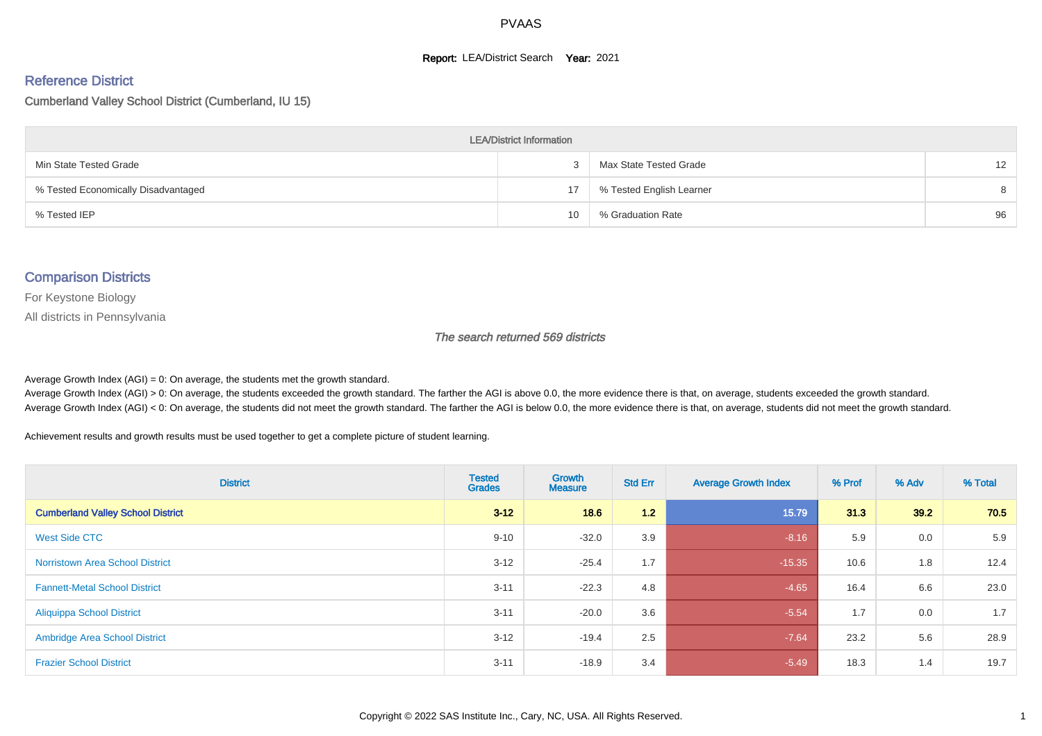#### **Report: LEA/District Search Year: 2021**

#### Reference District

#### Cumberland Valley School District (Cumberland, IU 15)

| <b>LEA/District Information</b>     |    |                          |                   |  |  |  |  |  |  |  |
|-------------------------------------|----|--------------------------|-------------------|--|--|--|--|--|--|--|
| Min State Tested Grade              | 3  | Max State Tested Grade   | $12 \overline{ }$ |  |  |  |  |  |  |  |
| % Tested Economically Disadvantaged | 17 | % Tested English Learner | 8                 |  |  |  |  |  |  |  |
| % Tested IEP                        | 10 | % Graduation Rate        | 96                |  |  |  |  |  |  |  |

#### Comparison Districts

For Keystone Biology

All districts in Pennsylvania

The search returned 569 districts

Average Growth Index  $(AGI) = 0$ : On average, the students met the growth standard.

Average Growth Index (AGI) > 0: On average, the students exceeded the growth standard. The farther the AGI is above 0.0, the more evidence there is that, on average, students exceeded the growth standard. Average Growth Index (AGI) < 0: On average, the students did not meet the growth standard. The farther the AGI is below 0.0, the more evidence there is that, on average, students did not meet the growth standard.

Achievement results and growth results must be used together to get a complete picture of student learning.

| <b>District</b>                          | <b>Tested</b><br><b>Grades</b> | Growth<br><b>Measure</b> | <b>Std Err</b> | <b>Average Growth Index</b> | % Prof | % Adv | % Total |
|------------------------------------------|--------------------------------|--------------------------|----------------|-----------------------------|--------|-------|---------|
| <b>Cumberland Valley School District</b> | $3 - 12$                       | 18.6                     | 1.2            | 15.79                       | 31.3   | 39.2  | 70.5    |
| West Side CTC                            | $9 - 10$                       | $-32.0$                  | 3.9            | $-8.16$                     | 5.9    | 0.0   | 5.9     |
| <b>Norristown Area School District</b>   | $3 - 12$                       | $-25.4$                  | 1.7            | $-15.35$                    | 10.6   | 1.8   | 12.4    |
| <b>Fannett-Metal School District</b>     | $3 - 11$                       | $-22.3$                  | 4.8            | $-4.65$                     | 16.4   | 6.6   | 23.0    |
| <b>Aliquippa School District</b>         | $3 - 11$                       | $-20.0$                  | 3.6            | $-5.54$                     | 1.7    | 0.0   | 1.7     |
| <b>Ambridge Area School District</b>     | $3 - 12$                       | $-19.4$                  | 2.5            | $-7.64$                     | 23.2   | 5.6   | 28.9    |
| <b>Frazier School District</b>           | $3 - 11$                       | $-18.9$                  | 3.4            | $-5.49$                     | 18.3   | 1.4   | 19.7    |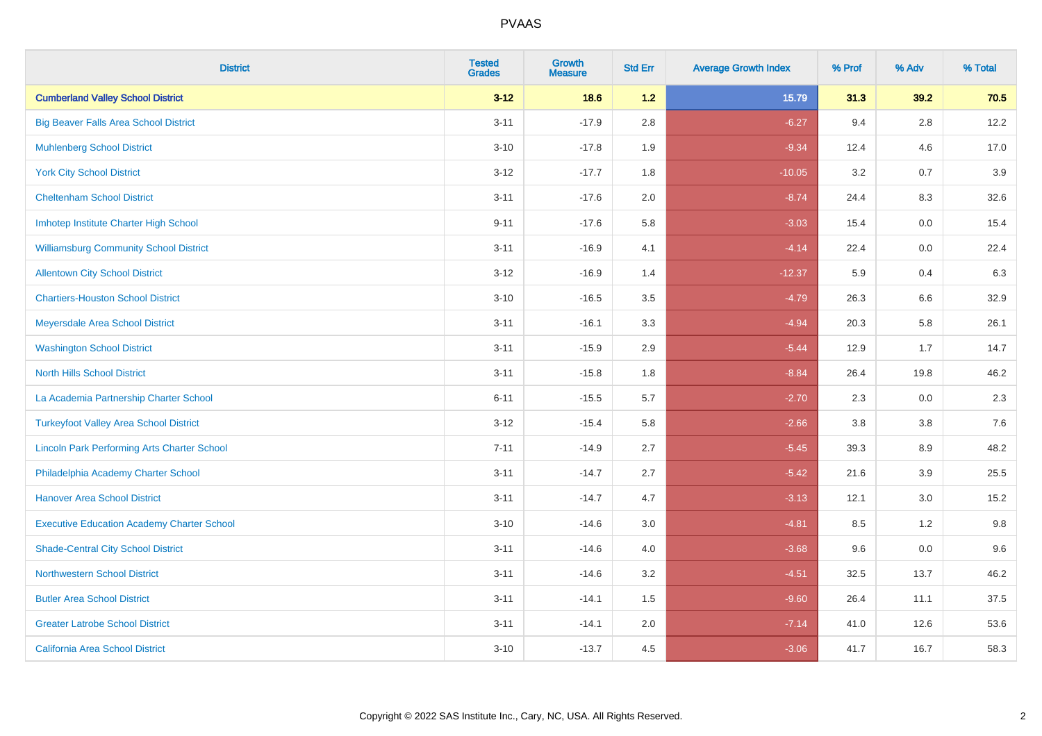| <b>District</b>                                    | <b>Tested</b><br><b>Grades</b> | Growth<br><b>Measure</b> | <b>Std Err</b> | <b>Average Growth Index</b> | % Prof | % Adv   | % Total |
|----------------------------------------------------|--------------------------------|--------------------------|----------------|-----------------------------|--------|---------|---------|
| <b>Cumberland Valley School District</b>           | $3 - 12$                       | 18.6                     | $1.2$          | 15.79                       | 31.3   | 39.2    | 70.5    |
| <b>Big Beaver Falls Area School District</b>       | $3 - 11$                       | $-17.9$                  | 2.8            | $-6.27$                     | 9.4    | 2.8     | 12.2    |
| <b>Muhlenberg School District</b>                  | $3 - 10$                       | $-17.8$                  | 1.9            | $-9.34$                     | 12.4   | 4.6     | 17.0    |
| <b>York City School District</b>                   | $3-12$                         | $-17.7$                  | 1.8            | $-10.05$                    | 3.2    | 0.7     | 3.9     |
| <b>Cheltenham School District</b>                  | $3 - 11$                       | $-17.6$                  | 2.0            | $-8.74$                     | 24.4   | 8.3     | 32.6    |
| Imhotep Institute Charter High School              | $9 - 11$                       | $-17.6$                  | 5.8            | $-3.03$                     | 15.4   | 0.0     | 15.4    |
| <b>Williamsburg Community School District</b>      | $3 - 11$                       | $-16.9$                  | 4.1            | $-4.14$                     | 22.4   | $0.0\,$ | 22.4    |
| <b>Allentown City School District</b>              | $3 - 12$                       | $-16.9$                  | 1.4            | $-12.37$                    | 5.9    | 0.4     | 6.3     |
| <b>Chartiers-Houston School District</b>           | $3 - 10$                       | $-16.5$                  | 3.5            | $-4.79$                     | 26.3   | 6.6     | 32.9    |
| Meyersdale Area School District                    | $3 - 11$                       | $-16.1$                  | 3.3            | $-4.94$                     | 20.3   | 5.8     | 26.1    |
| <b>Washington School District</b>                  | $3 - 11$                       | $-15.9$                  | 2.9            | $-5.44$                     | 12.9   | 1.7     | 14.7    |
| <b>North Hills School District</b>                 | $3 - 11$                       | $-15.8$                  | 1.8            | $-8.84$                     | 26.4   | 19.8    | 46.2    |
| La Academia Partnership Charter School             | $6 - 11$                       | $-15.5$                  | 5.7            | $-2.70$                     | 2.3    | 0.0     | 2.3     |
| <b>Turkeyfoot Valley Area School District</b>      | $3 - 12$                       | $-15.4$                  | 5.8            | $-2.66$                     | 3.8    | $3.8\,$ | 7.6     |
| <b>Lincoln Park Performing Arts Charter School</b> | $7 - 11$                       | $-14.9$                  | 2.7            | $-5.45$                     | 39.3   | 8.9     | 48.2    |
| Philadelphia Academy Charter School                | $3 - 11$                       | $-14.7$                  | 2.7            | $-5.42$                     | 21.6   | 3.9     | 25.5    |
| <b>Hanover Area School District</b>                | $3 - 11$                       | $-14.7$                  | 4.7            | $-3.13$                     | 12.1   | 3.0     | 15.2    |
| <b>Executive Education Academy Charter School</b>  | $3 - 10$                       | $-14.6$                  | 3.0            | $-4.81$                     | 8.5    | $1.2$   | 9.8     |
| <b>Shade-Central City School District</b>          | $3 - 11$                       | $-14.6$                  | 4.0            | $-3.68$                     | 9.6    | 0.0     | 9.6     |
| <b>Northwestern School District</b>                | $3 - 11$                       | $-14.6$                  | 3.2            | $-4.51$                     | 32.5   | 13.7    | 46.2    |
| <b>Butler Area School District</b>                 | $3 - 11$                       | $-14.1$                  | 1.5            | $-9.60$                     | 26.4   | 11.1    | 37.5    |
| <b>Greater Latrobe School District</b>             | $3 - 11$                       | $-14.1$                  | 2.0            | $-7.14$                     | 41.0   | 12.6    | 53.6    |
| <b>California Area School District</b>             | $3 - 10$                       | $-13.7$                  | 4.5            | $-3.06$                     | 41.7   | 16.7    | 58.3    |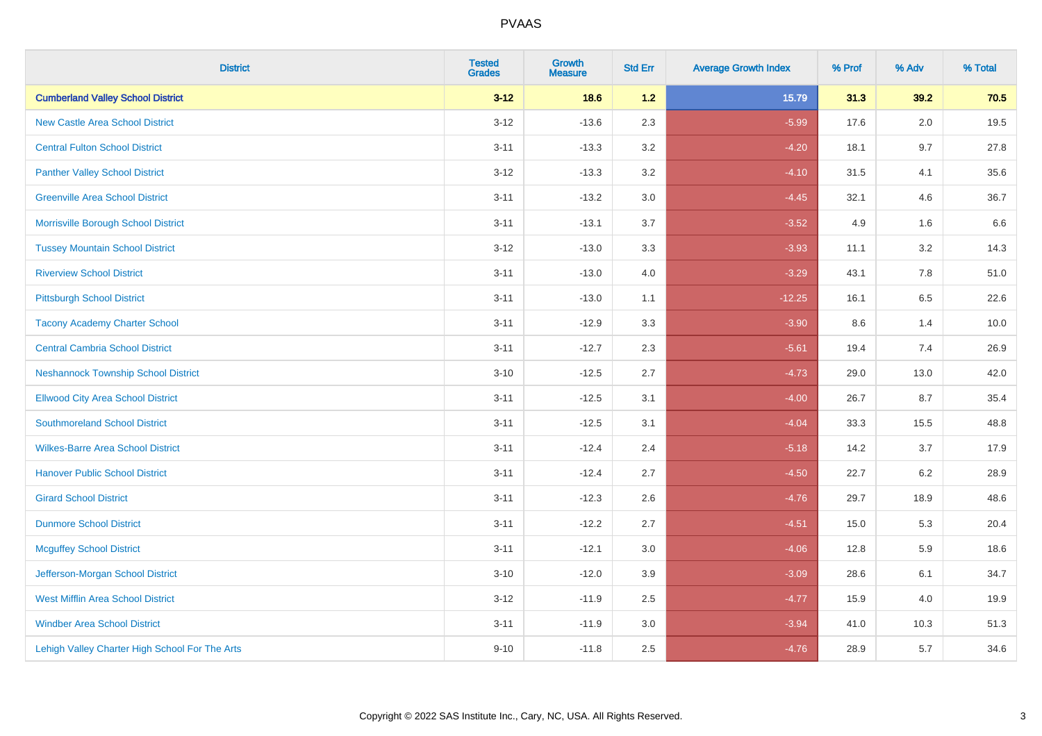| <b>District</b>                                | <b>Tested</b><br><b>Grades</b> | <b>Growth</b><br><b>Measure</b> | <b>Std Err</b> | <b>Average Growth Index</b> | % Prof | % Adv   | % Total |
|------------------------------------------------|--------------------------------|---------------------------------|----------------|-----------------------------|--------|---------|---------|
| <b>Cumberland Valley School District</b>       | $3 - 12$                       | 18.6                            | 1.2            | 15.79                       | 31.3   | 39.2    | 70.5    |
| <b>New Castle Area School District</b>         | $3 - 12$                       | $-13.6$                         | 2.3            | $-5.99$                     | 17.6   | $2.0\,$ | 19.5    |
| <b>Central Fulton School District</b>          | $3 - 11$                       | $-13.3$                         | 3.2            | $-4.20$                     | 18.1   | 9.7     | 27.8    |
| <b>Panther Valley School District</b>          | $3 - 12$                       | $-13.3$                         | 3.2            | $-4.10$                     | 31.5   | 4.1     | 35.6    |
| <b>Greenville Area School District</b>         | $3 - 11$                       | $-13.2$                         | 3.0            | $-4.45$                     | 32.1   | 4.6     | 36.7    |
| Morrisville Borough School District            | $3 - 11$                       | $-13.1$                         | 3.7            | $-3.52$                     | 4.9    | 1.6     | 6.6     |
| <b>Tussey Mountain School District</b>         | $3 - 12$                       | $-13.0$                         | 3.3            | $-3.93$                     | 11.1   | 3.2     | 14.3    |
| <b>Riverview School District</b>               | $3 - 11$                       | $-13.0$                         | 4.0            | $-3.29$                     | 43.1   | 7.8     | 51.0    |
| <b>Pittsburgh School District</b>              | $3 - 11$                       | $-13.0$                         | 1.1            | $-12.25$                    | 16.1   | 6.5     | 22.6    |
| <b>Tacony Academy Charter School</b>           | $3 - 11$                       | $-12.9$                         | 3.3            | $-3.90$                     | 8.6    | 1.4     | 10.0    |
| <b>Central Cambria School District</b>         | $3 - 11$                       | $-12.7$                         | 2.3            | $-5.61$                     | 19.4   | 7.4     | 26.9    |
| <b>Neshannock Township School District</b>     | $3 - 10$                       | $-12.5$                         | 2.7            | $-4.73$                     | 29.0   | 13.0    | 42.0    |
| <b>Ellwood City Area School District</b>       | $3 - 11$                       | $-12.5$                         | 3.1            | $-4.00$                     | 26.7   | 8.7     | 35.4    |
| <b>Southmoreland School District</b>           | $3 - 11$                       | $-12.5$                         | 3.1            | $-4.04$                     | 33.3   | 15.5    | 48.8    |
| <b>Wilkes-Barre Area School District</b>       | $3 - 11$                       | $-12.4$                         | 2.4            | $-5.18$                     | 14.2   | 3.7     | 17.9    |
| <b>Hanover Public School District</b>          | $3 - 11$                       | $-12.4$                         | 2.7            | $-4.50$                     | 22.7   | $6.2\,$ | 28.9    |
| <b>Girard School District</b>                  | $3 - 11$                       | $-12.3$                         | 2.6            | $-4.76$                     | 29.7   | 18.9    | 48.6    |
| <b>Dunmore School District</b>                 | $3 - 11$                       | $-12.2$                         | 2.7            | $-4.51$                     | 15.0   | 5.3     | 20.4    |
| <b>Mcguffey School District</b>                | $3 - 11$                       | $-12.1$                         | 3.0            | $-4.06$                     | 12.8   | 5.9     | 18.6    |
| Jefferson-Morgan School District               | $3 - 10$                       | $-12.0$                         | 3.9            | $-3.09$                     | 28.6   | 6.1     | 34.7    |
| <b>West Mifflin Area School District</b>       | $3 - 12$                       | $-11.9$                         | 2.5            | $-4.77$                     | 15.9   | 4.0     | 19.9    |
| <b>Windber Area School District</b>            | $3 - 11$                       | $-11.9$                         | 3.0            | $-3.94$                     | 41.0   | 10.3    | 51.3    |
| Lehigh Valley Charter High School For The Arts | $9 - 10$                       | $-11.8$                         | 2.5            | $-4.76$                     | 28.9   | 5.7     | 34.6    |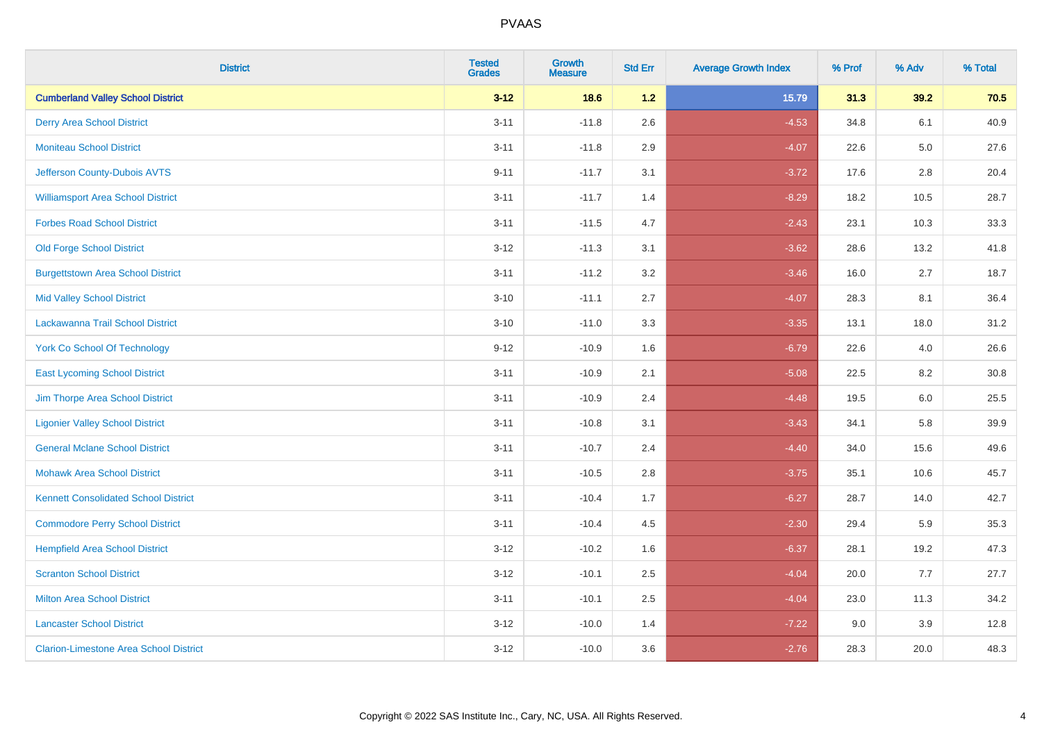| <b>District</b>                               | <b>Tested</b><br><b>Grades</b> | <b>Growth</b><br><b>Measure</b> | <b>Std Err</b> | <b>Average Growth Index</b> | % Prof | % Adv   | % Total |
|-----------------------------------------------|--------------------------------|---------------------------------|----------------|-----------------------------|--------|---------|---------|
| <b>Cumberland Valley School District</b>      | $3 - 12$                       | 18.6                            | 1.2            | 15.79                       | 31.3   | 39.2    | 70.5    |
| <b>Derry Area School District</b>             | $3 - 11$                       | $-11.8$                         | 2.6            | $-4.53$                     | 34.8   | 6.1     | 40.9    |
| <b>Moniteau School District</b>               | $3 - 11$                       | $-11.8$                         | 2.9            | $-4.07$                     | 22.6   | $5.0\,$ | 27.6    |
| Jefferson County-Dubois AVTS                  | $9 - 11$                       | $-11.7$                         | 3.1            | $-3.72$                     | 17.6   | 2.8     | 20.4    |
| <b>Williamsport Area School District</b>      | $3 - 11$                       | $-11.7$                         | 1.4            | $-8.29$                     | 18.2   | 10.5    | 28.7    |
| <b>Forbes Road School District</b>            | $3 - 11$                       | $-11.5$                         | 4.7            | $-2.43$                     | 23.1   | 10.3    | 33.3    |
| <b>Old Forge School District</b>              | $3 - 12$                       | $-11.3$                         | 3.1            | $-3.62$                     | 28.6   | 13.2    | 41.8    |
| <b>Burgettstown Area School District</b>      | $3 - 11$                       | $-11.2$                         | 3.2            | $-3.46$                     | 16.0   | 2.7     | 18.7    |
| <b>Mid Valley School District</b>             | $3 - 10$                       | $-11.1$                         | 2.7            | $-4.07$                     | 28.3   | 8.1     | 36.4    |
| Lackawanna Trail School District              | $3 - 10$                       | $-11.0$                         | 3.3            | $-3.35$                     | 13.1   | 18.0    | 31.2    |
| <b>York Co School Of Technology</b>           | $9 - 12$                       | $-10.9$                         | 1.6            | $-6.79$                     | 22.6   | 4.0     | 26.6    |
| <b>East Lycoming School District</b>          | $3 - 11$                       | $-10.9$                         | 2.1            | $-5.08$                     | 22.5   | 8.2     | 30.8    |
| Jim Thorpe Area School District               | $3 - 11$                       | $-10.9$                         | 2.4            | $-4.48$                     | 19.5   | $6.0\,$ | 25.5    |
| <b>Ligonier Valley School District</b>        | $3 - 11$                       | $-10.8$                         | 3.1            | $-3.43$                     | 34.1   | 5.8     | 39.9    |
| <b>General Mclane School District</b>         | $3 - 11$                       | $-10.7$                         | 2.4            | $-4.40$                     | 34.0   | 15.6    | 49.6    |
| <b>Mohawk Area School District</b>            | $3 - 11$                       | $-10.5$                         | 2.8            | $-3.75$                     | 35.1   | 10.6    | 45.7    |
| <b>Kennett Consolidated School District</b>   | $3 - 11$                       | $-10.4$                         | 1.7            | $-6.27$                     | 28.7   | 14.0    | 42.7    |
| <b>Commodore Perry School District</b>        | $3 - 11$                       | $-10.4$                         | 4.5            | $-2.30$                     | 29.4   | 5.9     | 35.3    |
| <b>Hempfield Area School District</b>         | $3 - 12$                       | $-10.2$                         | 1.6            | $-6.37$                     | 28.1   | 19.2    | 47.3    |
| <b>Scranton School District</b>               | $3 - 12$                       | $-10.1$                         | 2.5            | $-4.04$                     | 20.0   | 7.7     | 27.7    |
| <b>Milton Area School District</b>            | $3 - 11$                       | $-10.1$                         | 2.5            | $-4.04$                     | 23.0   | 11.3    | 34.2    |
| <b>Lancaster School District</b>              | $3 - 12$                       | $-10.0$                         | 1.4            | $-7.22$                     | 9.0    | 3.9     | 12.8    |
| <b>Clarion-Limestone Area School District</b> | $3 - 12$                       | $-10.0$                         | 3.6            | $-2.76$                     | 28.3   | 20.0    | 48.3    |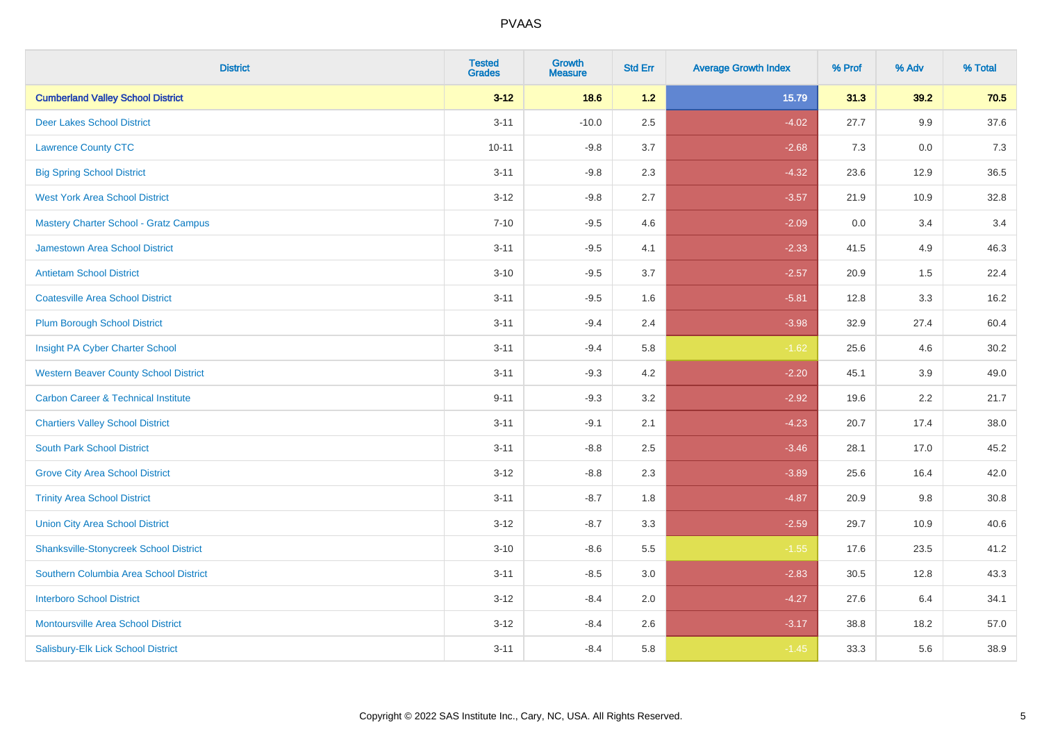| <b>District</b>                                | <b>Tested</b><br><b>Grades</b> | <b>Growth</b><br><b>Measure</b> | <b>Std Err</b> | <b>Average Growth Index</b> | % Prof | % Adv | % Total |
|------------------------------------------------|--------------------------------|---------------------------------|----------------|-----------------------------|--------|-------|---------|
| <b>Cumberland Valley School District</b>       | $3 - 12$                       | 18.6                            | $1.2$          | 15.79                       | 31.3   | 39.2  | 70.5    |
| <b>Deer Lakes School District</b>              | $3 - 11$                       | $-10.0$                         | 2.5            | $-4.02$                     | 27.7   | 9.9   | 37.6    |
| <b>Lawrence County CTC</b>                     | $10 - 11$                      | $-9.8$                          | 3.7            | $-2.68$                     | 7.3    | 0.0   | 7.3     |
| <b>Big Spring School District</b>              | $3 - 11$                       | $-9.8$                          | 2.3            | $-4.32$                     | 23.6   | 12.9  | 36.5    |
| <b>West York Area School District</b>          | $3 - 12$                       | $-9.8$                          | 2.7            | $-3.57$                     | 21.9   | 10.9  | 32.8    |
| <b>Mastery Charter School - Gratz Campus</b>   | $7 - 10$                       | $-9.5$                          | 4.6            | $-2.09$                     | 0.0    | 3.4   | 3.4     |
| Jamestown Area School District                 | $3 - 11$                       | $-9.5$                          | 4.1            | $-2.33$                     | 41.5   | 4.9   | 46.3    |
| <b>Antietam School District</b>                | $3 - 10$                       | $-9.5$                          | 3.7            | $-2.57$                     | 20.9   | 1.5   | 22.4    |
| <b>Coatesville Area School District</b>        | $3 - 11$                       | $-9.5$                          | 1.6            | $-5.81$                     | 12.8   | 3.3   | 16.2    |
| <b>Plum Borough School District</b>            | $3 - 11$                       | $-9.4$                          | 2.4            | $-3.98$                     | 32.9   | 27.4  | 60.4    |
| Insight PA Cyber Charter School                | $3 - 11$                       | $-9.4$                          | 5.8            | $-1.62$                     | 25.6   | 4.6   | 30.2    |
| <b>Western Beaver County School District</b>   | $3 - 11$                       | $-9.3$                          | 4.2            | $-2.20$                     | 45.1   | 3.9   | 49.0    |
| <b>Carbon Career &amp; Technical Institute</b> | $9 - 11$                       | $-9.3$                          | 3.2            | $-2.92$                     | 19.6   | 2.2   | 21.7    |
| <b>Chartiers Valley School District</b>        | $3 - 11$                       | $-9.1$                          | 2.1            | $-4.23$                     | 20.7   | 17.4  | 38.0    |
| <b>South Park School District</b>              | $3 - 11$                       | $-8.8$                          | 2.5            | $-3.46$                     | 28.1   | 17.0  | 45.2    |
| <b>Grove City Area School District</b>         | $3 - 12$                       | $-8.8$                          | 2.3            | $-3.89$                     | 25.6   | 16.4  | 42.0    |
| <b>Trinity Area School District</b>            | $3 - 11$                       | $-8.7$                          | 1.8            | $-4.87$                     | 20.9   | 9.8   | 30.8    |
| <b>Union City Area School District</b>         | $3 - 12$                       | $-8.7$                          | 3.3            | $-2.59$                     | 29.7   | 10.9  | 40.6    |
| <b>Shanksville-Stonycreek School District</b>  | $3 - 10$                       | $-8.6$                          | 5.5            | $-1.55$                     | 17.6   | 23.5  | 41.2    |
| Southern Columbia Area School District         | $3 - 11$                       | $-8.5$                          | 3.0            | $-2.83$                     | 30.5   | 12.8  | 43.3    |
| <b>Interboro School District</b>               | $3 - 12$                       | $-8.4$                          | 2.0            | $-4.27$                     | 27.6   | 6.4   | 34.1    |
| <b>Montoursville Area School District</b>      | $3 - 12$                       | $-8.4$                          | 2.6            | $-3.17$                     | 38.8   | 18.2  | 57.0    |
| Salisbury-Elk Lick School District             | $3 - 11$                       | $-8.4$                          | 5.8            | $-1.45$                     | 33.3   | 5.6   | 38.9    |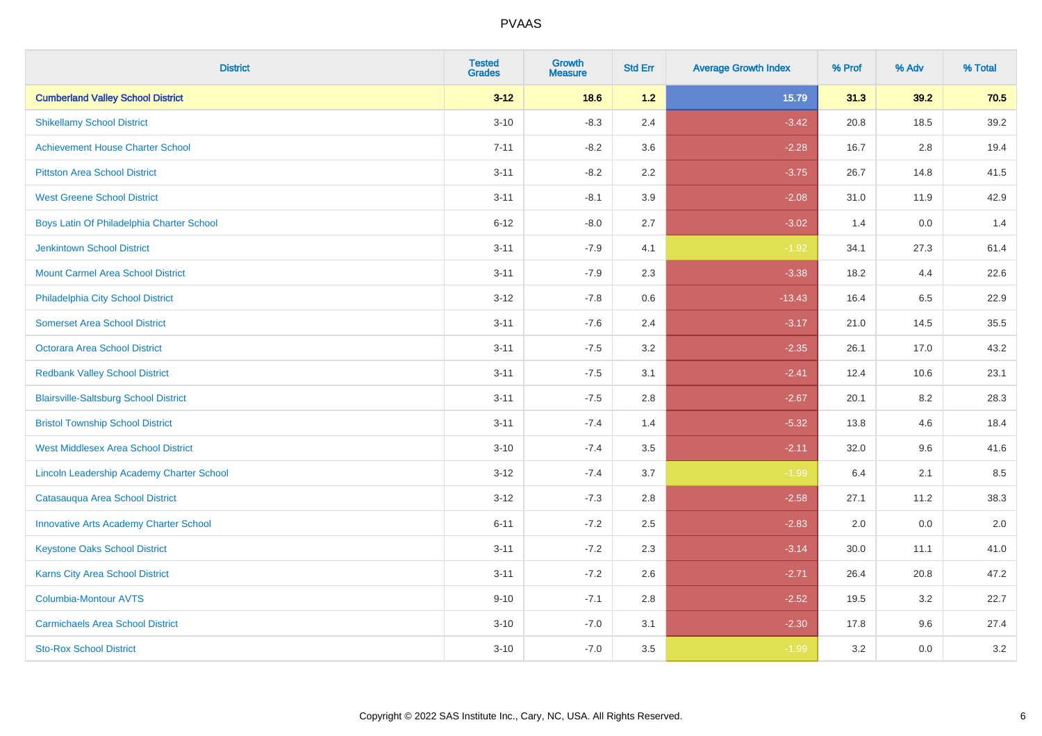| <b>District</b>                                  | <b>Tested</b><br><b>Grades</b> | <b>Growth</b><br><b>Measure</b> | <b>Std Err</b> | <b>Average Growth Index</b> | % Prof | % Adv   | % Total |
|--------------------------------------------------|--------------------------------|---------------------------------|----------------|-----------------------------|--------|---------|---------|
| <b>Cumberland Valley School District</b>         | $3 - 12$                       | 18.6                            | 1.2            | 15.79                       | 31.3   | 39.2    | 70.5    |
| <b>Shikellamy School District</b>                | $3 - 10$                       | $-8.3$                          | 2.4            | $-3.42$                     | 20.8   | 18.5    | 39.2    |
| <b>Achievement House Charter School</b>          | $7 - 11$                       | $-8.2$                          | 3.6            | $-2.28$                     | 16.7   | 2.8     | 19.4    |
| <b>Pittston Area School District</b>             | $3 - 11$                       | $-8.2$                          | 2.2            | $-3.75$                     | 26.7   | 14.8    | 41.5    |
| <b>West Greene School District</b>               | $3 - 11$                       | $-8.1$                          | 3.9            | $-2.08$                     | 31.0   | 11.9    | 42.9    |
| Boys Latin Of Philadelphia Charter School        | $6 - 12$                       | $-8.0$                          | 2.7            | $-3.02$                     | 1.4    | 0.0     | 1.4     |
| <b>Jenkintown School District</b>                | $3 - 11$                       | $-7.9$                          | 4.1            | $-1.92$                     | 34.1   | 27.3    | 61.4    |
| <b>Mount Carmel Area School District</b>         | $3 - 11$                       | $-7.9$                          | 2.3            | $-3.38$                     | 18.2   | 4.4     | 22.6    |
| Philadelphia City School District                | $3 - 12$                       | $-7.8$                          | 0.6            | $-13.43$                    | 16.4   | 6.5     | 22.9    |
| <b>Somerset Area School District</b>             | $3 - 11$                       | $-7.6$                          | 2.4            | $-3.17$                     | 21.0   | 14.5    | 35.5    |
| <b>Octorara Area School District</b>             | $3 - 11$                       | $-7.5$                          | 3.2            | $-2.35$                     | 26.1   | 17.0    | 43.2    |
| <b>Redbank Valley School District</b>            | $3 - 11$                       | $-7.5$                          | 3.1            | $-2.41$                     | 12.4   | 10.6    | 23.1    |
| <b>Blairsville-Saltsburg School District</b>     | $3 - 11$                       | $-7.5$                          | 2.8            | $-2.67$                     | 20.1   | $8.2\,$ | 28.3    |
| <b>Bristol Township School District</b>          | $3 - 11$                       | $-7.4$                          | 1.4            | $-5.32$                     | 13.8   | 4.6     | 18.4    |
| <b>West Middlesex Area School District</b>       | $3 - 10$                       | $-7.4$                          | 3.5            | $-2.11$                     | 32.0   | 9.6     | 41.6    |
| <b>Lincoln Leadership Academy Charter School</b> | $3 - 12$                       | $-7.4$                          | 3.7            | $-1.99$                     | 6.4    | 2.1     | 8.5     |
| Catasauqua Area School District                  | $3 - 12$                       | $-7.3$                          | 2.8            | $-2.58$                     | 27.1   | 11.2    | 38.3    |
| <b>Innovative Arts Academy Charter School</b>    | $6 - 11$                       | $-7.2$                          | 2.5            | $-2.83$                     | 2.0    | 0.0     | 2.0     |
| <b>Keystone Oaks School District</b>             | $3 - 11$                       | $-7.2$                          | 2.3            | $-3.14$                     | 30.0   | 11.1    | 41.0    |
| Karns City Area School District                  | $3 - 11$                       | $-7.2$                          | 2.6            | $-2.71$                     | 26.4   | 20.8    | 47.2    |
| Columbia-Montour AVTS                            | $9 - 10$                       | $-7.1$                          | 2.8            | $-2.52$                     | 19.5   | 3.2     | 22.7    |
| <b>Carmichaels Area School District</b>          | $3 - 10$                       | $-7.0$                          | 3.1            | $-2.30$                     | 17.8   | 9.6     | 27.4    |
| <b>Sto-Rox School District</b>                   | $3 - 10$                       | $-7.0$                          | 3.5            | $-1.99$                     | 3.2    | 0.0     | 3.2     |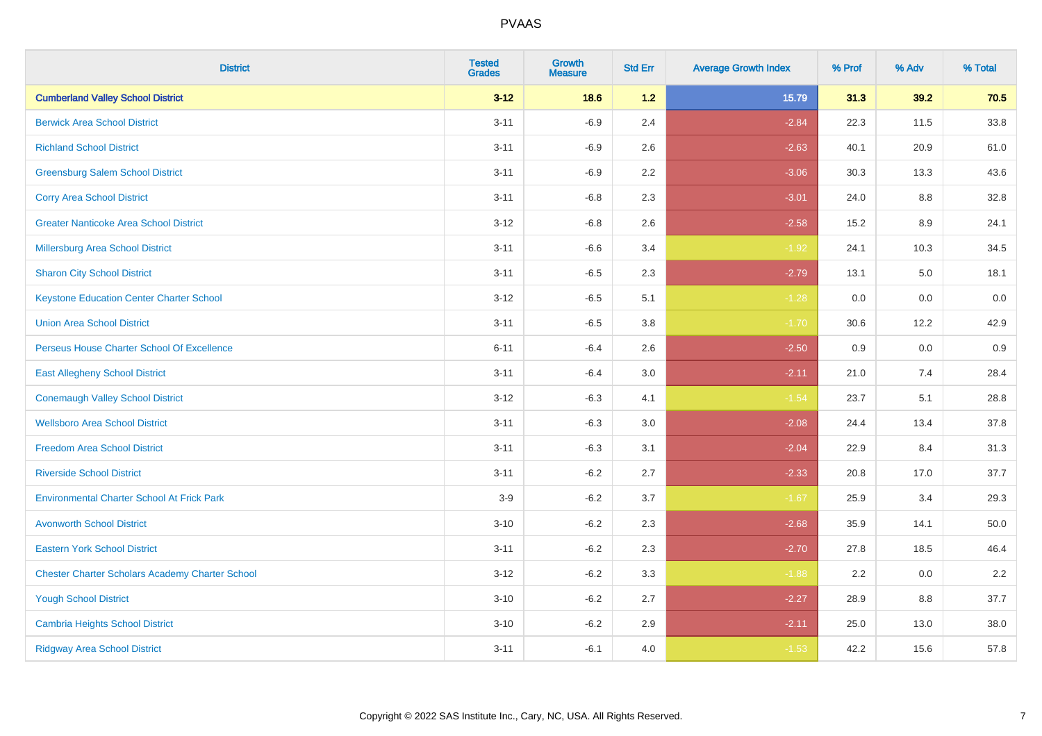| <b>District</b>                                        | <b>Tested</b><br><b>Grades</b> | <b>Growth</b><br><b>Measure</b> | <b>Std Err</b> | <b>Average Growth Index</b> | % Prof | % Adv | % Total |
|--------------------------------------------------------|--------------------------------|---------------------------------|----------------|-----------------------------|--------|-------|---------|
| <b>Cumberland Valley School District</b>               | $3 - 12$                       | 18.6                            | $1.2$          | 15.79                       | 31.3   | 39.2  | 70.5    |
| <b>Berwick Area School District</b>                    | $3 - 11$                       | $-6.9$                          | 2.4            | $-2.84$                     | 22.3   | 11.5  | 33.8    |
| <b>Richland School District</b>                        | $3 - 11$                       | $-6.9$                          | 2.6            | $-2.63$                     | 40.1   | 20.9  | 61.0    |
| <b>Greensburg Salem School District</b>                | $3 - 11$                       | $-6.9$                          | 2.2            | $-3.06$                     | 30.3   | 13.3  | 43.6    |
| <b>Corry Area School District</b>                      | $3 - 11$                       | $-6.8$                          | 2.3            | $-3.01$                     | 24.0   | 8.8   | 32.8    |
| <b>Greater Nanticoke Area School District</b>          | $3 - 12$                       | $-6.8$                          | 2.6            | $-2.58$                     | 15.2   | 8.9   | 24.1    |
| <b>Millersburg Area School District</b>                | $3 - 11$                       | $-6.6$                          | 3.4            | $-1.92$                     | 24.1   | 10.3  | 34.5    |
| <b>Sharon City School District</b>                     | $3 - 11$                       | $-6.5$                          | 2.3            | $-2.79$                     | 13.1   | 5.0   | 18.1    |
| <b>Keystone Education Center Charter School</b>        | $3 - 12$                       | $-6.5$                          | 5.1            | $-1.28$                     | 0.0    | 0.0   | 0.0     |
| <b>Union Area School District</b>                      | $3 - 11$                       | $-6.5$                          | 3.8            | $-1.70$                     | 30.6   | 12.2  | 42.9    |
| Perseus House Charter School Of Excellence             | $6 - 11$                       | $-6.4$                          | 2.6            | $-2.50$                     | 0.9    | 0.0   | 0.9     |
| <b>East Allegheny School District</b>                  | $3 - 11$                       | $-6.4$                          | 3.0            | $-2.11$                     | 21.0   | 7.4   | 28.4    |
| <b>Conemaugh Valley School District</b>                | $3 - 12$                       | $-6.3$                          | 4.1            | $-1.54$                     | 23.7   | 5.1   | 28.8    |
| <b>Wellsboro Area School District</b>                  | $3 - 11$                       | $-6.3$                          | 3.0            | $-2.08$                     | 24.4   | 13.4  | 37.8    |
| <b>Freedom Area School District</b>                    | $3 - 11$                       | $-6.3$                          | 3.1            | $-2.04$                     | 22.9   | 8.4   | 31.3    |
| <b>Riverside School District</b>                       | $3 - 11$                       | $-6.2$                          | 2.7            | $-2.33$                     | 20.8   | 17.0  | 37.7    |
| <b>Environmental Charter School At Frick Park</b>      | $3-9$                          | $-6.2$                          | 3.7            | $-1.67$                     | 25.9   | 3.4   | 29.3    |
| <b>Avonworth School District</b>                       | $3 - 10$                       | $-6.2$                          | 2.3            | $-2.68$                     | 35.9   | 14.1  | 50.0    |
| <b>Eastern York School District</b>                    | $3 - 11$                       | $-6.2$                          | 2.3            | $-2.70$                     | 27.8   | 18.5  | 46.4    |
| <b>Chester Charter Scholars Academy Charter School</b> | $3 - 12$                       | $-6.2$                          | 3.3            | $-1.88$                     | 2.2    | 0.0   | 2.2     |
| <b>Yough School District</b>                           | $3 - 10$                       | $-6.2$                          | 2.7            | $-2.27$                     | 28.9   | 8.8   | 37.7    |
| <b>Cambria Heights School District</b>                 | $3 - 10$                       | $-6.2$                          | 2.9            | $-2.11$                     | 25.0   | 13.0  | 38.0    |
| <b>Ridgway Area School District</b>                    | $3 - 11$                       | $-6.1$                          | 4.0            | $-1.53$                     | 42.2   | 15.6  | 57.8    |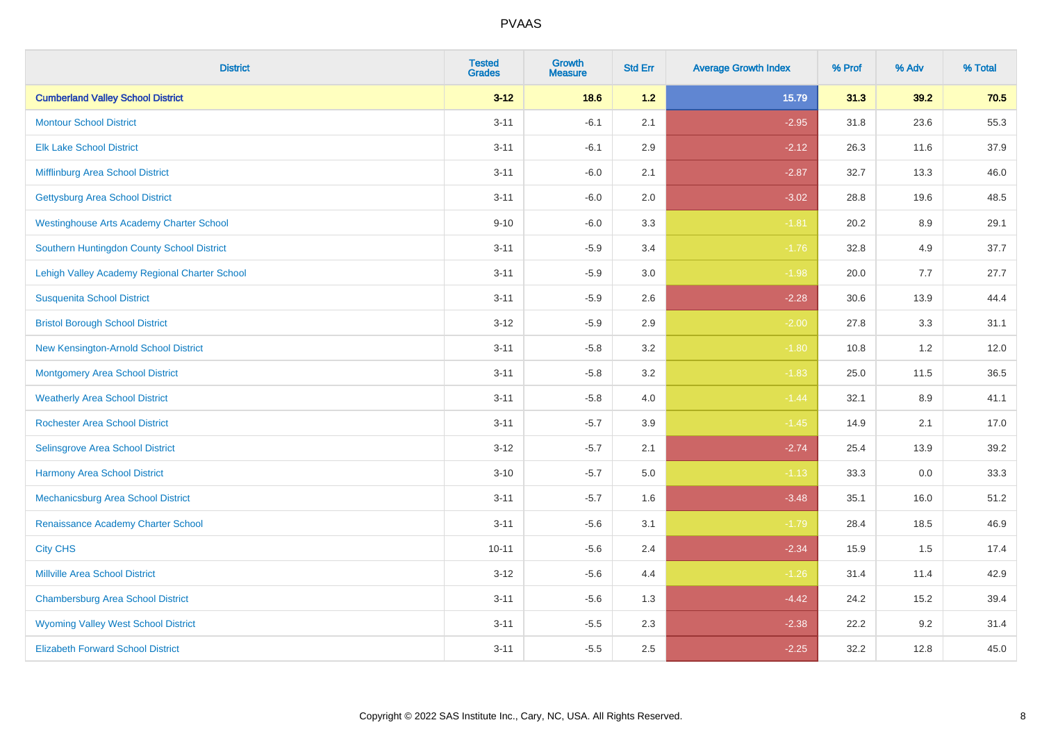| <b>District</b>                                 | <b>Tested</b><br><b>Grades</b> | <b>Growth</b><br><b>Measure</b> | <b>Std Err</b> | <b>Average Growth Index</b> | % Prof | % Adv   | % Total |
|-------------------------------------------------|--------------------------------|---------------------------------|----------------|-----------------------------|--------|---------|---------|
| <b>Cumberland Valley School District</b>        | $3 - 12$                       | 18.6                            | 1.2            | 15.79                       | 31.3   | 39.2    | 70.5    |
| <b>Montour School District</b>                  | $3 - 11$                       | $-6.1$                          | 2.1            | $-2.95$                     | 31.8   | 23.6    | 55.3    |
| <b>Elk Lake School District</b>                 | $3 - 11$                       | $-6.1$                          | 2.9            | $-2.12$                     | 26.3   | 11.6    | 37.9    |
| Mifflinburg Area School District                | $3 - 11$                       | $-6.0$                          | 2.1            | $-2.87$                     | 32.7   | 13.3    | 46.0    |
| <b>Gettysburg Area School District</b>          | $3 - 11$                       | $-6.0$                          | 2.0            | $-3.02$                     | 28.8   | 19.6    | 48.5    |
| <b>Westinghouse Arts Academy Charter School</b> | $9 - 10$                       | $-6.0$                          | 3.3            | $-1.81$                     | 20.2   | 8.9     | 29.1    |
| Southern Huntingdon County School District      | $3 - 11$                       | $-5.9$                          | 3.4            | $-1.76$                     | 32.8   | 4.9     | 37.7    |
| Lehigh Valley Academy Regional Charter School   | $3 - 11$                       | $-5.9$                          | 3.0            | $-1.98$                     | 20.0   | 7.7     | 27.7    |
| <b>Susquenita School District</b>               | $3 - 11$                       | $-5.9$                          | 2.6            | $-2.28$                     | 30.6   | 13.9    | 44.4    |
| <b>Bristol Borough School District</b>          | $3 - 12$                       | $-5.9$                          | 2.9            | $-2.00$                     | 27.8   | 3.3     | 31.1    |
| New Kensington-Arnold School District           | $3 - 11$                       | $-5.8$                          | 3.2            | $-1.80$                     | 10.8   | 1.2     | 12.0    |
| <b>Montgomery Area School District</b>          | $3 - 11$                       | $-5.8$                          | 3.2            | $-1.83$                     | 25.0   | 11.5    | 36.5    |
| <b>Weatherly Area School District</b>           | $3 - 11$                       | $-5.8$                          | $4.0\,$        | $-1.44$                     | 32.1   | $8.9\,$ | 41.1    |
| <b>Rochester Area School District</b>           | $3 - 11$                       | $-5.7$                          | 3.9            | $-1.45$                     | 14.9   | 2.1     | 17.0    |
| Selinsgrove Area School District                | $3 - 12$                       | $-5.7$                          | 2.1            | $-2.74$                     | 25.4   | 13.9    | 39.2    |
| <b>Harmony Area School District</b>             | $3 - 10$                       | $-5.7$                          | $5.0\,$        | $-1.13$                     | 33.3   | $0.0\,$ | 33.3    |
| Mechanicsburg Area School District              | $3 - 11$                       | $-5.7$                          | 1.6            | $-3.48$                     | 35.1   | 16.0    | 51.2    |
| Renaissance Academy Charter School              | $3 - 11$                       | $-5.6$                          | 3.1            | $-1.79$                     | 28.4   | 18.5    | 46.9    |
| <b>City CHS</b>                                 | $10 - 11$                      | $-5.6$                          | 2.4            | $-2.34$                     | 15.9   | 1.5     | 17.4    |
| <b>Millville Area School District</b>           | $3 - 12$                       | $-5.6$                          | 4.4            | $-1.26$                     | 31.4   | 11.4    | 42.9    |
| <b>Chambersburg Area School District</b>        | $3 - 11$                       | $-5.6$                          | 1.3            | $-4.42$                     | 24.2   | 15.2    | 39.4    |
| <b>Wyoming Valley West School District</b>      | $3 - 11$                       | $-5.5$                          | 2.3            | $-2.38$                     | 22.2   | 9.2     | 31.4    |
| <b>Elizabeth Forward School District</b>        | $3 - 11$                       | $-5.5$                          | 2.5            | $-2.25$                     | 32.2   | 12.8    | 45.0    |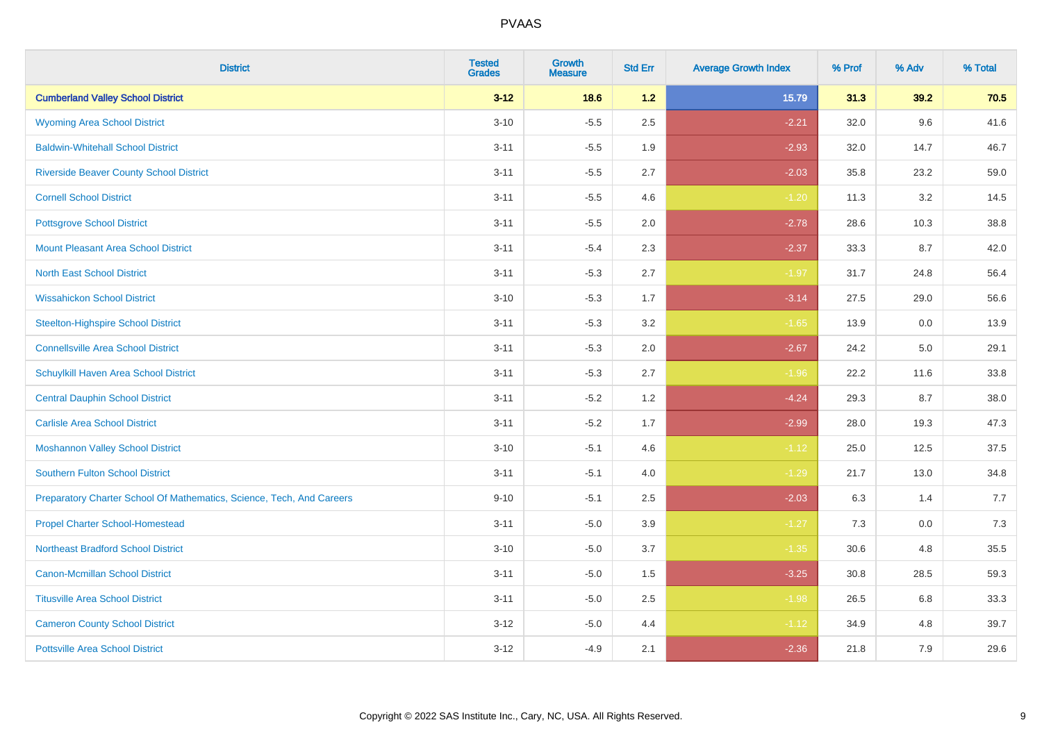| <b>District</b>                                                       | <b>Tested</b><br><b>Grades</b> | <b>Growth</b><br><b>Measure</b> | <b>Std Err</b> | <b>Average Growth Index</b> | % Prof | % Adv | % Total |
|-----------------------------------------------------------------------|--------------------------------|---------------------------------|----------------|-----------------------------|--------|-------|---------|
| <b>Cumberland Valley School District</b>                              | $3 - 12$                       | 18.6                            | $1.2$          | 15.79                       | 31.3   | 39.2  | 70.5    |
| <b>Wyoming Area School District</b>                                   | $3 - 10$                       | $-5.5$                          | 2.5            | $-2.21$                     | 32.0   | 9.6   | 41.6    |
| <b>Baldwin-Whitehall School District</b>                              | $3 - 11$                       | $-5.5$                          | 1.9            | $-2.93$                     | 32.0   | 14.7  | 46.7    |
| <b>Riverside Beaver County School District</b>                        | $3 - 11$                       | $-5.5$                          | 2.7            | $-2.03$                     | 35.8   | 23.2  | 59.0    |
| <b>Cornell School District</b>                                        | $3 - 11$                       | $-5.5$                          | 4.6            | $-1.20$                     | 11.3   | 3.2   | 14.5    |
| <b>Pottsgrove School District</b>                                     | $3 - 11$                       | $-5.5$                          | 2.0            | $-2.78$                     | 28.6   | 10.3  | 38.8    |
| <b>Mount Pleasant Area School District</b>                            | $3 - 11$                       | $-5.4$                          | 2.3            | $-2.37$                     | 33.3   | 8.7   | 42.0    |
| <b>North East School District</b>                                     | $3 - 11$                       | $-5.3$                          | 2.7            | $-1.97$                     | 31.7   | 24.8  | 56.4    |
| <b>Wissahickon School District</b>                                    | $3 - 10$                       | $-5.3$                          | 1.7            | $-3.14$                     | 27.5   | 29.0  | 56.6    |
| <b>Steelton-Highspire School District</b>                             | $3 - 11$                       | $-5.3$                          | 3.2            | $-1.65$                     | 13.9   | 0.0   | 13.9    |
| <b>Connellsville Area School District</b>                             | $3 - 11$                       | $-5.3$                          | 2.0            | $-2.67$                     | 24.2   | 5.0   | 29.1    |
| Schuylkill Haven Area School District                                 | $3 - 11$                       | $-5.3$                          | 2.7            | $-1.96$                     | 22.2   | 11.6  | 33.8    |
| <b>Central Dauphin School District</b>                                | $3 - 11$                       | $-5.2$                          | 1.2            | $-4.24$                     | 29.3   | 8.7   | 38.0    |
| <b>Carlisle Area School District</b>                                  | $3 - 11$                       | $-5.2$                          | 1.7            | $-2.99$                     | 28.0   | 19.3  | 47.3    |
| <b>Moshannon Valley School District</b>                               | $3 - 10$                       | $-5.1$                          | 4.6            | $-1.12$                     | 25.0   | 12.5  | 37.5    |
| <b>Southern Fulton School District</b>                                | $3 - 11$                       | $-5.1$                          | 4.0            | $-1.29$                     | 21.7   | 13.0  | 34.8    |
| Preparatory Charter School Of Mathematics, Science, Tech, And Careers | $9 - 10$                       | $-5.1$                          | 2.5            | $-2.03$                     | 6.3    | 1.4   | 7.7     |
| <b>Propel Charter School-Homestead</b>                                | $3 - 11$                       | $-5.0$                          | 3.9            | $-1.27$                     | 7.3    | 0.0   | 7.3     |
| <b>Northeast Bradford School District</b>                             | $3 - 10$                       | $-5.0$                          | 3.7            | $-1.35$                     | 30.6   | 4.8   | 35.5    |
| <b>Canon-Mcmillan School District</b>                                 | $3 - 11$                       | $-5.0$                          | 1.5            | $-3.25$                     | 30.8   | 28.5  | 59.3    |
| <b>Titusville Area School District</b>                                | $3 - 11$                       | $-5.0$                          | 2.5            | $-1.98$                     | 26.5   | 6.8   | 33.3    |
| <b>Cameron County School District</b>                                 | $3 - 12$                       | $-5.0$                          | 4.4            | $-1.12$                     | 34.9   | 4.8   | 39.7    |
| <b>Pottsville Area School District</b>                                | $3 - 12$                       | $-4.9$                          | 2.1            | $-2.36$                     | 21.8   | 7.9   | 29.6    |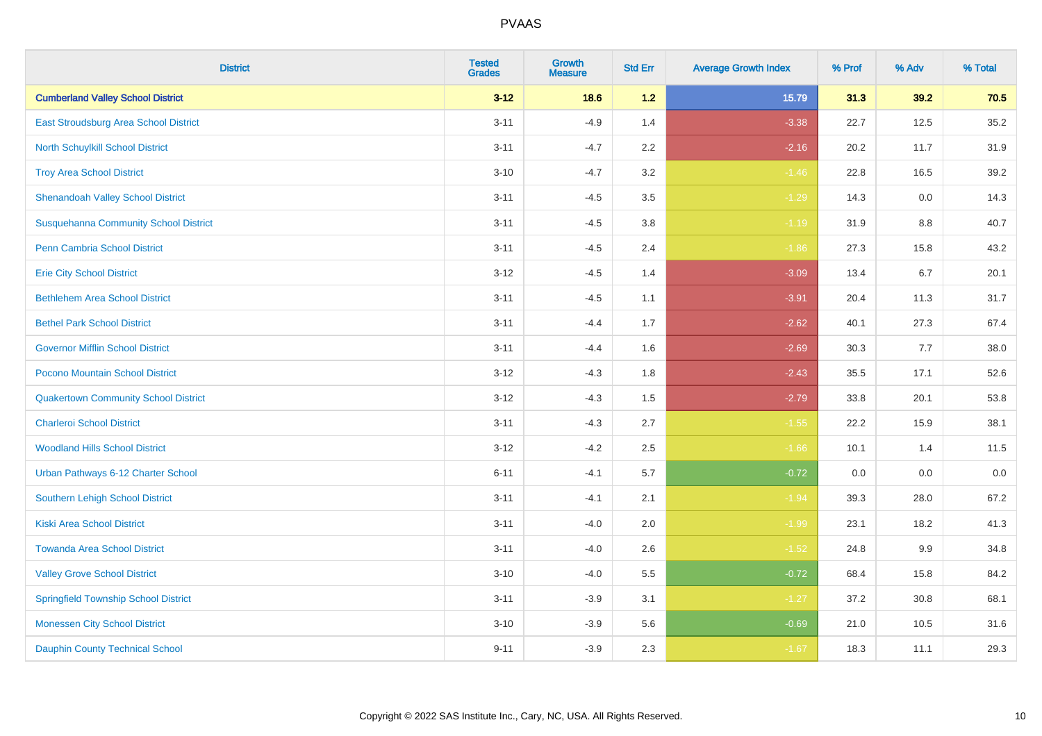| <b>District</b>                              | <b>Tested</b><br><b>Grades</b> | <b>Growth</b><br><b>Measure</b> | <b>Std Err</b> | <b>Average Growth Index</b> | % Prof | % Adv | % Total |
|----------------------------------------------|--------------------------------|---------------------------------|----------------|-----------------------------|--------|-------|---------|
| <b>Cumberland Valley School District</b>     | $3 - 12$                       | 18.6                            | $1.2$          | 15.79                       | 31.3   | 39.2  | 70.5    |
| East Stroudsburg Area School District        | $3 - 11$                       | $-4.9$                          | 1.4            | $-3.38$                     | 22.7   | 12.5  | 35.2    |
| North Schuylkill School District             | $3 - 11$                       | $-4.7$                          | 2.2            | $-2.16$                     | 20.2   | 11.7  | 31.9    |
| <b>Troy Area School District</b>             | $3 - 10$                       | $-4.7$                          | 3.2            | $-1.46$                     | 22.8   | 16.5  | 39.2    |
| <b>Shenandoah Valley School District</b>     | $3 - 11$                       | $-4.5$                          | 3.5            | $-1.29$                     | 14.3   | 0.0   | 14.3    |
| <b>Susquehanna Community School District</b> | $3 - 11$                       | $-4.5$                          | 3.8            | $-1.19$                     | 31.9   | 8.8   | 40.7    |
| Penn Cambria School District                 | $3 - 11$                       | $-4.5$                          | 2.4            | $-1.86$                     | 27.3   | 15.8  | 43.2    |
| <b>Erie City School District</b>             | $3 - 12$                       | $-4.5$                          | 1.4            | $-3.09$                     | 13.4   | 6.7   | 20.1    |
| <b>Bethlehem Area School District</b>        | $3 - 11$                       | $-4.5$                          | 1.1            | $-3.91$                     | 20.4   | 11.3  | 31.7    |
| <b>Bethel Park School District</b>           | $3 - 11$                       | $-4.4$                          | 1.7            | $-2.62$                     | 40.1   | 27.3  | 67.4    |
| <b>Governor Mifflin School District</b>      | $3 - 11$                       | $-4.4$                          | 1.6            | $-2.69$                     | 30.3   | 7.7   | 38.0    |
| Pocono Mountain School District              | $3 - 12$                       | $-4.3$                          | 1.8            | $-2.43$                     | 35.5   | 17.1  | 52.6    |
| <b>Quakertown Community School District</b>  | $3 - 12$                       | $-4.3$                          | $1.5\,$        | $-2.79$                     | 33.8   | 20.1  | 53.8    |
| <b>Charleroi School District</b>             | $3 - 11$                       | $-4.3$                          | 2.7            | $-1.55$                     | 22.2   | 15.9  | 38.1    |
| <b>Woodland Hills School District</b>        | $3 - 12$                       | $-4.2$                          | 2.5            | $-1.66$                     | 10.1   | 1.4   | 11.5    |
| Urban Pathways 6-12 Charter School           | $6 - 11$                       | $-4.1$                          | 5.7            | $-0.72$                     | 0.0    | 0.0   | 0.0     |
| Southern Lehigh School District              | $3 - 11$                       | $-4.1$                          | 2.1            | $-1.94$                     | 39.3   | 28.0  | 67.2    |
| <b>Kiski Area School District</b>            | $3 - 11$                       | $-4.0$                          | 2.0            | $-1.99$                     | 23.1   | 18.2  | 41.3    |
| <b>Towanda Area School District</b>          | $3 - 11$                       | $-4.0$                          | 2.6            | $-1.52$                     | 24.8   | 9.9   | 34.8    |
| <b>Valley Grove School District</b>          | $3 - 10$                       | $-4.0$                          | 5.5            | $-0.72$                     | 68.4   | 15.8  | 84.2    |
| <b>Springfield Township School District</b>  | $3 - 11$                       | $-3.9$                          | 3.1            | $-1.27$                     | 37.2   | 30.8  | 68.1    |
| <b>Monessen City School District</b>         | $3 - 10$                       | $-3.9$                          | 5.6            | $-0.69$                     | 21.0   | 10.5  | 31.6    |
| <b>Dauphin County Technical School</b>       | $9 - 11$                       | $-3.9$                          | 2.3            | $-1.67$                     | 18.3   | 11.1  | 29.3    |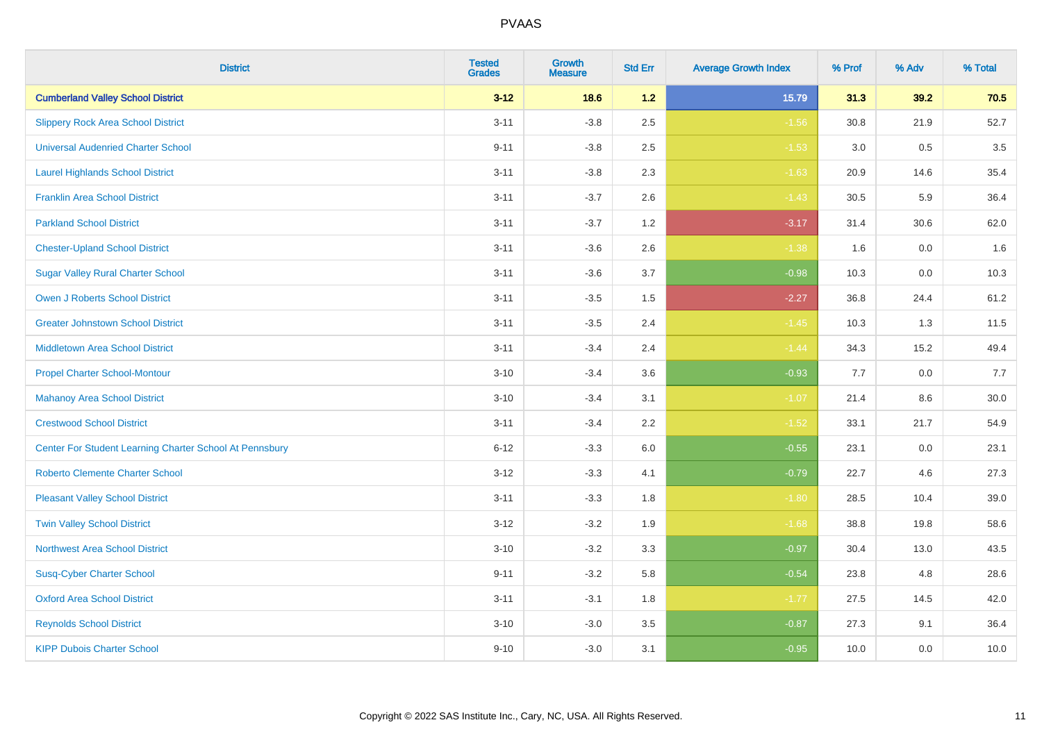| <b>District</b>                                         | <b>Tested</b><br><b>Grades</b> | <b>Growth</b><br><b>Measure</b> | <b>Std Err</b> | <b>Average Growth Index</b> | % Prof | % Adv   | % Total |
|---------------------------------------------------------|--------------------------------|---------------------------------|----------------|-----------------------------|--------|---------|---------|
| <b>Cumberland Valley School District</b>                | $3 - 12$                       | 18.6                            | $1.2$          | 15.79                       | 31.3   | 39.2    | 70.5    |
| <b>Slippery Rock Area School District</b>               | $3 - 11$                       | $-3.8$                          | 2.5            | $-1.56$                     | 30.8   | 21.9    | 52.7    |
| <b>Universal Audenried Charter School</b>               | $9 - 11$                       | $-3.8$                          | 2.5            | $-1.53$                     | 3.0    | 0.5     | 3.5     |
| <b>Laurel Highlands School District</b>                 | $3 - 11$                       | $-3.8$                          | 2.3            | $-1.63$                     | 20.9   | 14.6    | 35.4    |
| <b>Franklin Area School District</b>                    | $3 - 11$                       | $-3.7$                          | 2.6            | $-1.43$                     | 30.5   | 5.9     | 36.4    |
| <b>Parkland School District</b>                         | $3 - 11$                       | $-3.7$                          | 1.2            | $-3.17$                     | 31.4   | 30.6    | 62.0    |
| <b>Chester-Upland School District</b>                   | $3 - 11$                       | $-3.6$                          | 2.6            | $-1.38$                     | 1.6    | $0.0\,$ | 1.6     |
| <b>Sugar Valley Rural Charter School</b>                | $3 - 11$                       | $-3.6$                          | 3.7            | $-0.98$                     | 10.3   | 0.0     | 10.3    |
| <b>Owen J Roberts School District</b>                   | $3 - 11$                       | $-3.5$                          | 1.5            | $-2.27$                     | 36.8   | 24.4    | 61.2    |
| <b>Greater Johnstown School District</b>                | $3 - 11$                       | $-3.5$                          | 2.4            | $-1.45$                     | 10.3   | 1.3     | 11.5    |
| Middletown Area School District                         | $3 - 11$                       | $-3.4$                          | 2.4            | $-1.44$                     | 34.3   | 15.2    | 49.4    |
| <b>Propel Charter School-Montour</b>                    | $3 - 10$                       | $-3.4$                          | 3.6            | $-0.93$                     | 7.7    | 0.0     | 7.7     |
| <b>Mahanoy Area School District</b>                     | $3 - 10$                       | $-3.4$                          | 3.1            | $-1.07$                     | 21.4   | $8.6\,$ | 30.0    |
| <b>Crestwood School District</b>                        | $3 - 11$                       | $-3.4$                          | 2.2            | $-1.52$                     | 33.1   | 21.7    | 54.9    |
| Center For Student Learning Charter School At Pennsbury | $6 - 12$                       | $-3.3$                          | 6.0            | $-0.55$                     | 23.1   | 0.0     | 23.1    |
| <b>Roberto Clemente Charter School</b>                  | $3 - 12$                       | $-3.3$                          | 4.1            | $-0.79$                     | 22.7   | 4.6     | 27.3    |
| <b>Pleasant Valley School District</b>                  | $3 - 11$                       | $-3.3$                          | 1.8            | $-1.80$                     | 28.5   | 10.4    | 39.0    |
| <b>Twin Valley School District</b>                      | $3 - 12$                       | $-3.2$                          | 1.9            | $-1.68$                     | 38.8   | 19.8    | 58.6    |
| <b>Northwest Area School District</b>                   | $3 - 10$                       | $-3.2$                          | 3.3            | $-0.97$                     | 30.4   | 13.0    | 43.5    |
| <b>Susq-Cyber Charter School</b>                        | $9 - 11$                       | $-3.2$                          | 5.8            | $-0.54$                     | 23.8   | 4.8     | 28.6    |
| <b>Oxford Area School District</b>                      | $3 - 11$                       | $-3.1$                          | 1.8            | $-1.77$                     | 27.5   | 14.5    | 42.0    |
| <b>Reynolds School District</b>                         | $3 - 10$                       | $-3.0$                          | 3.5            | $-0.87$                     | 27.3   | 9.1     | 36.4    |
| <b>KIPP Dubois Charter School</b>                       | $9 - 10$                       | $-3.0$                          | 3.1            | $-0.95$                     | 10.0   | 0.0     | 10.0    |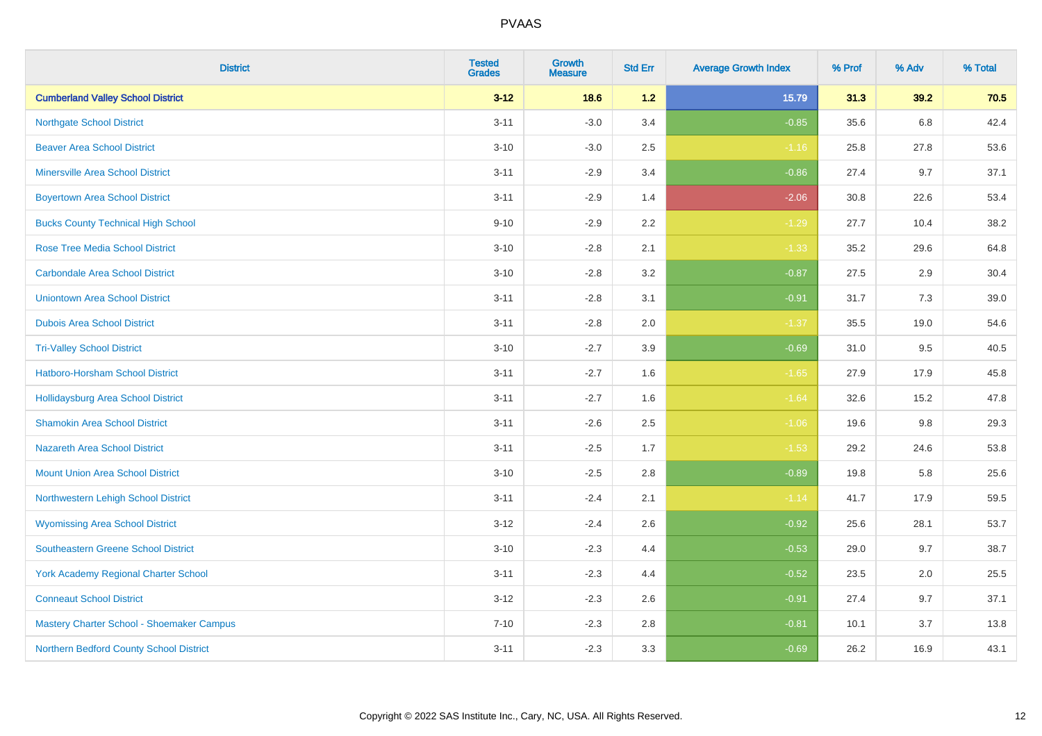| <b>District</b>                             | <b>Tested</b><br><b>Grades</b> | <b>Growth</b><br><b>Measure</b> | <b>Std Err</b> | <b>Average Growth Index</b> | % Prof | % Adv | % Total |
|---------------------------------------------|--------------------------------|---------------------------------|----------------|-----------------------------|--------|-------|---------|
| <b>Cumberland Valley School District</b>    | $3 - 12$                       | 18.6                            | 1.2            | 15.79                       | 31.3   | 39.2  | 70.5    |
| <b>Northgate School District</b>            | $3 - 11$                       | $-3.0$                          | 3.4            | $-0.85$                     | 35.6   | 6.8   | 42.4    |
| <b>Beaver Area School District</b>          | $3 - 10$                       | $-3.0$                          | 2.5            | $-1.16$                     | 25.8   | 27.8  | 53.6    |
| <b>Minersville Area School District</b>     | $3 - 11$                       | $-2.9$                          | 3.4            | $-0.86$                     | 27.4   | 9.7   | 37.1    |
| <b>Boyertown Area School District</b>       | $3 - 11$                       | $-2.9$                          | 1.4            | $-2.06$                     | 30.8   | 22.6  | 53.4    |
| <b>Bucks County Technical High School</b>   | $9 - 10$                       | $-2.9$                          | 2.2            | $-1.29$                     | 27.7   | 10.4  | 38.2    |
| <b>Rose Tree Media School District</b>      | $3 - 10$                       | $-2.8$                          | 2.1            | $-1.33$                     | 35.2   | 29.6  | 64.8    |
| <b>Carbondale Area School District</b>      | $3 - 10$                       | $-2.8$                          | 3.2            | $-0.87$                     | 27.5   | 2.9   | 30.4    |
| <b>Uniontown Area School District</b>       | $3 - 11$                       | $-2.8$                          | 3.1            | $-0.91$                     | 31.7   | 7.3   | 39.0    |
| <b>Dubois Area School District</b>          | $3 - 11$                       | $-2.8$                          | 2.0            | $-1.37$                     | 35.5   | 19.0  | 54.6    |
| <b>Tri-Valley School District</b>           | $3 - 10$                       | $-2.7$                          | 3.9            | $-0.69$                     | 31.0   | 9.5   | 40.5    |
| Hatboro-Horsham School District             | $3 - 11$                       | $-2.7$                          | 1.6            | $-1.65$                     | 27.9   | 17.9  | 45.8    |
| Hollidaysburg Area School District          | $3 - 11$                       | $-2.7$                          | 1.6            | $-1.64$                     | 32.6   | 15.2  | 47.8    |
| <b>Shamokin Area School District</b>        | $3 - 11$                       | $-2.6$                          | 2.5            | $-1.06$                     | 19.6   | 9.8   | 29.3    |
| <b>Nazareth Area School District</b>        | $3 - 11$                       | $-2.5$                          | 1.7            | $-1.53$                     | 29.2   | 24.6  | 53.8    |
| <b>Mount Union Area School District</b>     | $3 - 10$                       | $-2.5$                          | 2.8            | $-0.89$                     | 19.8   | 5.8   | 25.6    |
| Northwestern Lehigh School District         | $3 - 11$                       | $-2.4$                          | 2.1            | $-1.14$                     | 41.7   | 17.9  | 59.5    |
| <b>Wyomissing Area School District</b>      | $3-12$                         | $-2.4$                          | 2.6            | $-0.92$                     | 25.6   | 28.1  | 53.7    |
| <b>Southeastern Greene School District</b>  | $3 - 10$                       | $-2.3$                          | 4.4            | $-0.53$                     | 29.0   | 9.7   | 38.7    |
| <b>York Academy Regional Charter School</b> | $3 - 11$                       | $-2.3$                          | 4.4            | $-0.52$                     | 23.5   | 2.0   | 25.5    |
| <b>Conneaut School District</b>             | $3 - 12$                       | $-2.3$                          | 2.6            | $-0.91$                     | 27.4   | 9.7   | 37.1    |
| Mastery Charter School - Shoemaker Campus   | $7 - 10$                       | $-2.3$                          | 2.8            | $-0.81$                     | 10.1   | 3.7   | 13.8    |
| Northern Bedford County School District     | $3 - 11$                       | $-2.3$                          | 3.3            | $-0.69$                     | 26.2   | 16.9  | 43.1    |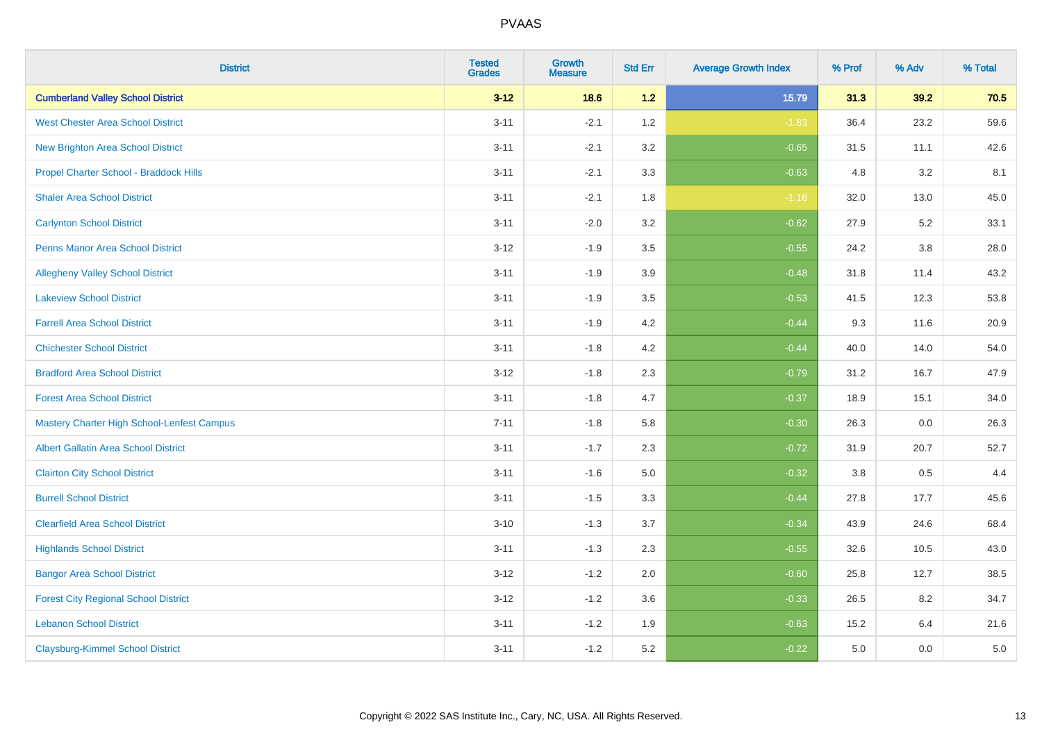| <b>District</b>                                   | <b>Tested</b><br><b>Grades</b> | <b>Growth</b><br><b>Measure</b> | <b>Std Err</b> | <b>Average Growth Index</b> | % Prof | % Adv   | % Total |
|---------------------------------------------------|--------------------------------|---------------------------------|----------------|-----------------------------|--------|---------|---------|
| <b>Cumberland Valley School District</b>          | $3 - 12$                       | 18.6                            | $1.2$          | 15.79                       | 31.3   | 39.2    | 70.5    |
| <b>West Chester Area School District</b>          | $3 - 11$                       | $-2.1$                          | 1.2            | $-1.83$                     | 36.4   | 23.2    | 59.6    |
| <b>New Brighton Area School District</b>          | $3 - 11$                       | $-2.1$                          | 3.2            | $-0.65$                     | 31.5   | 11.1    | 42.6    |
| Propel Charter School - Braddock Hills            | $3 - 11$                       | $-2.1$                          | 3.3            | $-0.63$                     | 4.8    | 3.2     | 8.1     |
| <b>Shaler Area School District</b>                | $3 - 11$                       | $-2.1$                          | 1.8            | $-1.18$                     | 32.0   | 13.0    | 45.0    |
| <b>Carlynton School District</b>                  | $3 - 11$                       | $-2.0$                          | 3.2            | $-0.62$                     | 27.9   | 5.2     | 33.1    |
| <b>Penns Manor Area School District</b>           | $3 - 12$                       | $-1.9$                          | 3.5            | $-0.55$                     | 24.2   | $3.8\,$ | 28.0    |
| <b>Allegheny Valley School District</b>           | $3 - 11$                       | $-1.9$                          | 3.9            | $-0.48$                     | 31.8   | 11.4    | 43.2    |
| <b>Lakeview School District</b>                   | $3 - 11$                       | $-1.9$                          | 3.5            | $-0.53$                     | 41.5   | 12.3    | 53.8    |
| <b>Farrell Area School District</b>               | $3 - 11$                       | $-1.9$                          | 4.2            | $-0.44$                     | 9.3    | 11.6    | 20.9    |
| <b>Chichester School District</b>                 | $3 - 11$                       | $-1.8$                          | 4.2            | $-0.44$                     | 40.0   | 14.0    | 54.0    |
| <b>Bradford Area School District</b>              | $3 - 12$                       | $-1.8$                          | 2.3            | $-0.79$                     | 31.2   | 16.7    | 47.9    |
| <b>Forest Area School District</b>                | $3 - 11$                       | $-1.8$                          | 4.7            | $-0.37$                     | 18.9   | 15.1    | 34.0    |
| <b>Mastery Charter High School-Lenfest Campus</b> | $7 - 11$                       | $-1.8$                          | 5.8            | $-0.30$                     | 26.3   | 0.0     | 26.3    |
| <b>Albert Gallatin Area School District</b>       | $3 - 11$                       | $-1.7$                          | 2.3            | $-0.72$                     | 31.9   | 20.7    | 52.7    |
| <b>Clairton City School District</b>              | $3 - 11$                       | $-1.6$                          | $5.0\,$        | $-0.32$                     | 3.8    | 0.5     | 4.4     |
| <b>Burrell School District</b>                    | $3 - 11$                       | $-1.5$                          | 3.3            | $-0.44$                     | 27.8   | 17.7    | 45.6    |
| <b>Clearfield Area School District</b>            | $3 - 10$                       | $-1.3$                          | 3.7            | $-0.34$                     | 43.9   | 24.6    | 68.4    |
| <b>Highlands School District</b>                  | $3 - 11$                       | $-1.3$                          | 2.3            | $-0.55$                     | 32.6   | 10.5    | 43.0    |
| <b>Bangor Area School District</b>                | $3 - 12$                       | $-1.2$                          | 2.0            | $-0.60$                     | 25.8   | 12.7    | 38.5    |
| <b>Forest City Regional School District</b>       | $3 - 12$                       | $-1.2$                          | 3.6            | $-0.33$                     | 26.5   | 8.2     | 34.7    |
| <b>Lebanon School District</b>                    | $3 - 11$                       | $-1.2$                          | 1.9            | $-0.63$                     | 15.2   | 6.4     | 21.6    |
| <b>Claysburg-Kimmel School District</b>           | $3 - 11$                       | $-1.2$                          | 5.2            | $-0.22$                     | 5.0    | 0.0     | 5.0     |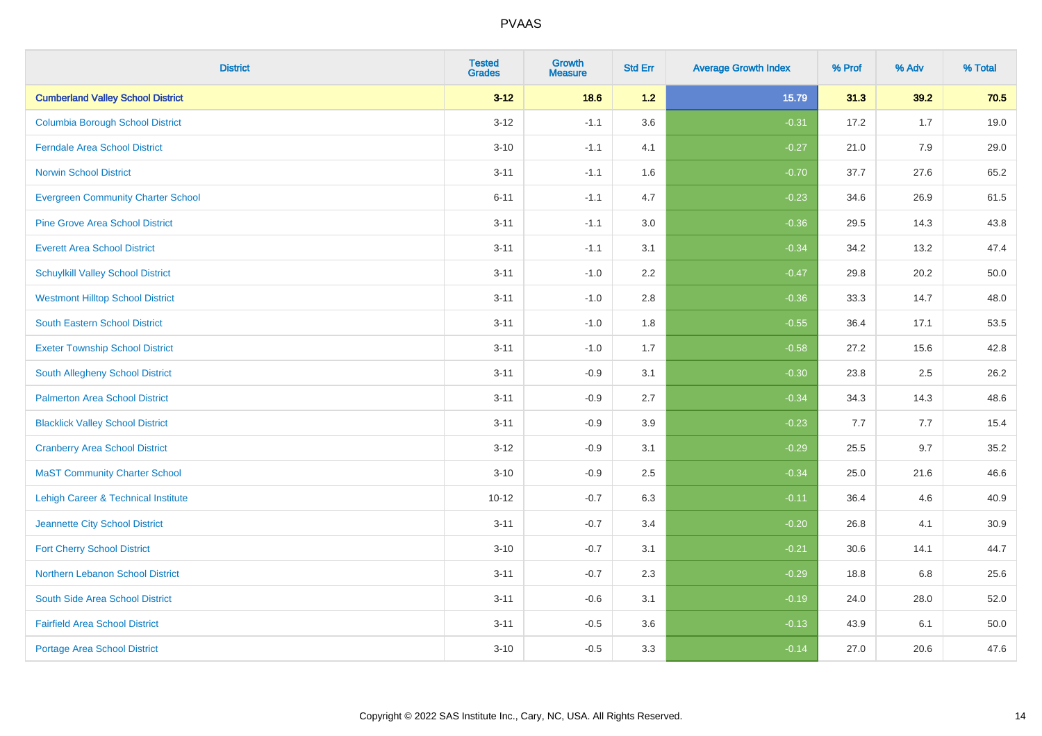| <b>District</b>                           | <b>Tested</b><br><b>Grades</b> | <b>Growth</b><br><b>Measure</b> | <b>Std Err</b> | <b>Average Growth Index</b> | % Prof | % Adv | % Total |
|-------------------------------------------|--------------------------------|---------------------------------|----------------|-----------------------------|--------|-------|---------|
| <b>Cumberland Valley School District</b>  | $3 - 12$                       | 18.6                            | 1.2            | 15.79                       | 31.3   | 39.2  | 70.5    |
| <b>Columbia Borough School District</b>   | $3 - 12$                       | $-1.1$                          | 3.6            | $-0.31$                     | 17.2   | 1.7   | 19.0    |
| <b>Ferndale Area School District</b>      | $3 - 10$                       | $-1.1$                          | 4.1            | $-0.27$                     | 21.0   | 7.9   | 29.0    |
| <b>Norwin School District</b>             | $3 - 11$                       | $-1.1$                          | 1.6            | $-0.70$                     | 37.7   | 27.6  | 65.2    |
| <b>Evergreen Community Charter School</b> | $6 - 11$                       | $-1.1$                          | 4.7            | $-0.23$                     | 34.6   | 26.9  | 61.5    |
| <b>Pine Grove Area School District</b>    | $3 - 11$                       | $-1.1$                          | 3.0            | $-0.36$                     | 29.5   | 14.3  | 43.8    |
| <b>Everett Area School District</b>       | $3 - 11$                       | $-1.1$                          | 3.1            | $-0.34$                     | 34.2   | 13.2  | 47.4    |
| <b>Schuylkill Valley School District</b>  | $3 - 11$                       | $-1.0$                          | 2.2            | $-0.47$                     | 29.8   | 20.2  | 50.0    |
| <b>Westmont Hilltop School District</b>   | $3 - 11$                       | $-1.0$                          | 2.8            | $-0.36$                     | 33.3   | 14.7  | 48.0    |
| South Eastern School District             | $3 - 11$                       | $-1.0$                          | 1.8            | $-0.55$                     | 36.4   | 17.1  | 53.5    |
| <b>Exeter Township School District</b>    | $3 - 11$                       | $-1.0$                          | 1.7            | $-0.58$                     | 27.2   | 15.6  | 42.8    |
| South Allegheny School District           | $3 - 11$                       | $-0.9$                          | 3.1            | $-0.30$                     | 23.8   | 2.5   | 26.2    |
| <b>Palmerton Area School District</b>     | $3 - 11$                       | $-0.9$                          | 2.7            | $-0.34$                     | 34.3   | 14.3  | 48.6    |
| <b>Blacklick Valley School District</b>   | $3 - 11$                       | $-0.9$                          | 3.9            | $-0.23$                     | 7.7    | 7.7   | 15.4    |
| <b>Cranberry Area School District</b>     | $3 - 12$                       | $-0.9$                          | 3.1            | $-0.29$                     | 25.5   | 9.7   | 35.2    |
| <b>MaST Community Charter School</b>      | $3 - 10$                       | $-0.9$                          | 2.5            | $-0.34$                     | 25.0   | 21.6  | 46.6    |
| Lehigh Career & Technical Institute       | $10 - 12$                      | $-0.7$                          | 6.3            | $-0.11$                     | 36.4   | 4.6   | 40.9    |
| Jeannette City School District            | $3 - 11$                       | $-0.7$                          | 3.4            | $-0.20$                     | 26.8   | 4.1   | 30.9    |
| <b>Fort Cherry School District</b>        | $3 - 10$                       | $-0.7$                          | 3.1            | $-0.21$                     | 30.6   | 14.1  | 44.7    |
| Northern Lebanon School District          | $3 - 11$                       | $-0.7$                          | 2.3            | $-0.29$                     | 18.8   | 6.8   | 25.6    |
| South Side Area School District           | $3 - 11$                       | $-0.6$                          | 3.1            | $-0.19$                     | 24.0   | 28.0  | 52.0    |
| <b>Fairfield Area School District</b>     | $3 - 11$                       | $-0.5$                          | 3.6            | $-0.13$                     | 43.9   | 6.1   | 50.0    |
| <b>Portage Area School District</b>       | $3 - 10$                       | $-0.5$                          | 3.3            | $-0.14$                     | 27.0   | 20.6  | 47.6    |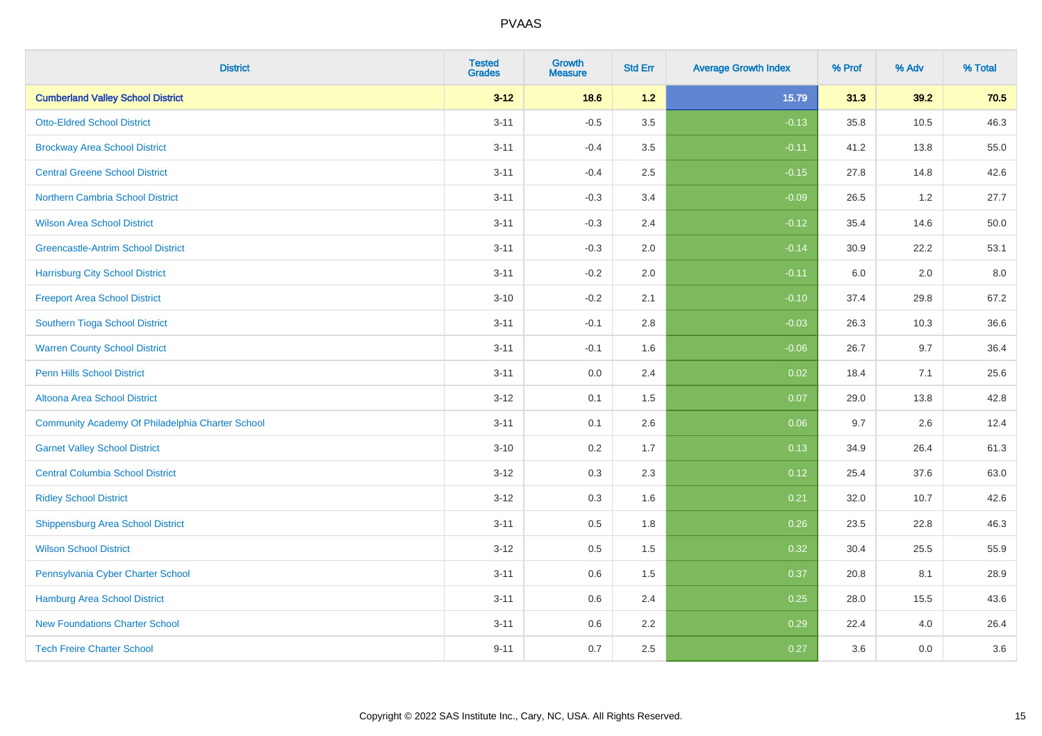| <b>District</b>                                  | <b>Tested</b><br><b>Grades</b> | <b>Growth</b><br><b>Measure</b> | <b>Std Err</b> | <b>Average Growth Index</b> | % Prof | % Adv | % Total |
|--------------------------------------------------|--------------------------------|---------------------------------|----------------|-----------------------------|--------|-------|---------|
| <b>Cumberland Valley School District</b>         | $3 - 12$                       | 18.6                            | 1.2            | 15.79                       | 31.3   | 39.2  | 70.5    |
| <b>Otto-Eldred School District</b>               | $3 - 11$                       | $-0.5$                          | 3.5            | $-0.13$                     | 35.8   | 10.5  | 46.3    |
| <b>Brockway Area School District</b>             | $3 - 11$                       | $-0.4$                          | 3.5            | $-0.11$                     | 41.2   | 13.8  | 55.0    |
| <b>Central Greene School District</b>            | $3 - 11$                       | $-0.4$                          | 2.5            | $-0.15$                     | 27.8   | 14.8  | 42.6    |
| <b>Northern Cambria School District</b>          | $3 - 11$                       | $-0.3$                          | 3.4            | $-0.09$                     | 26.5   | 1.2   | 27.7    |
| <b>Wilson Area School District</b>               | $3 - 11$                       | $-0.3$                          | 2.4            | $-0.12$                     | 35.4   | 14.6  | 50.0    |
| <b>Greencastle-Antrim School District</b>        | $3 - 11$                       | $-0.3$                          | 2.0            | $-0.14$                     | 30.9   | 22.2  | 53.1    |
| <b>Harrisburg City School District</b>           | $3 - 11$                       | $-0.2$                          | 2.0            | $-0.11$                     | 6.0    | 2.0   | 8.0     |
| <b>Freeport Area School District</b>             | $3 - 10$                       | $-0.2$                          | 2.1            | $-0.10$                     | 37.4   | 29.8  | 67.2    |
| Southern Tioga School District                   | $3 - 11$                       | $-0.1$                          | 2.8            | $-0.03$                     | 26.3   | 10.3  | 36.6    |
| <b>Warren County School District</b>             | $3 - 11$                       | $-0.1$                          | 1.6            | $-0.06$                     | 26.7   | 9.7   | 36.4    |
| <b>Penn Hills School District</b>                | $3 - 11$                       | 0.0                             | 2.4            | 0.02                        | 18.4   | 7.1   | 25.6    |
| Altoona Area School District                     | $3 - 12$                       | 0.1                             | 1.5            | 0.07                        | 29.0   | 13.8  | 42.8    |
| Community Academy Of Philadelphia Charter School | $3 - 11$                       | 0.1                             | 2.6            | 0.06                        | 9.7    | 2.6   | 12.4    |
| <b>Garnet Valley School District</b>             | $3 - 10$                       | 0.2                             | 1.7            | 0.13                        | 34.9   | 26.4  | 61.3    |
| <b>Central Columbia School District</b>          | $3 - 12$                       | 0.3                             | 2.3            | 0.12                        | 25.4   | 37.6  | 63.0    |
| <b>Ridley School District</b>                    | $3 - 12$                       | 0.3                             | 1.6            | 0.21                        | 32.0   | 10.7  | 42.6    |
| <b>Shippensburg Area School District</b>         | $3 - 11$                       | 0.5                             | 1.8            | 0.26                        | 23.5   | 22.8  | 46.3    |
| <b>Wilson School District</b>                    | $3 - 12$                       | 0.5                             | 1.5            | 0.32                        | 30.4   | 25.5  | 55.9    |
| Pennsylvania Cyber Charter School                | $3 - 11$                       | 0.6                             | 1.5            | 0.37                        | 20.8   | 8.1   | 28.9    |
| <b>Hamburg Area School District</b>              | $3 - 11$                       | 0.6                             | 2.4            | 0.25                        | 28.0   | 15.5  | 43.6    |
| <b>New Foundations Charter School</b>            | $3 - 11$                       | 0.6                             | 2.2            | 0.29                        | 22.4   | 4.0   | 26.4    |
| <b>Tech Freire Charter School</b>                | $9 - 11$                       | 0.7                             | 2.5            | 0.27                        | 3.6    | 0.0   | 3.6     |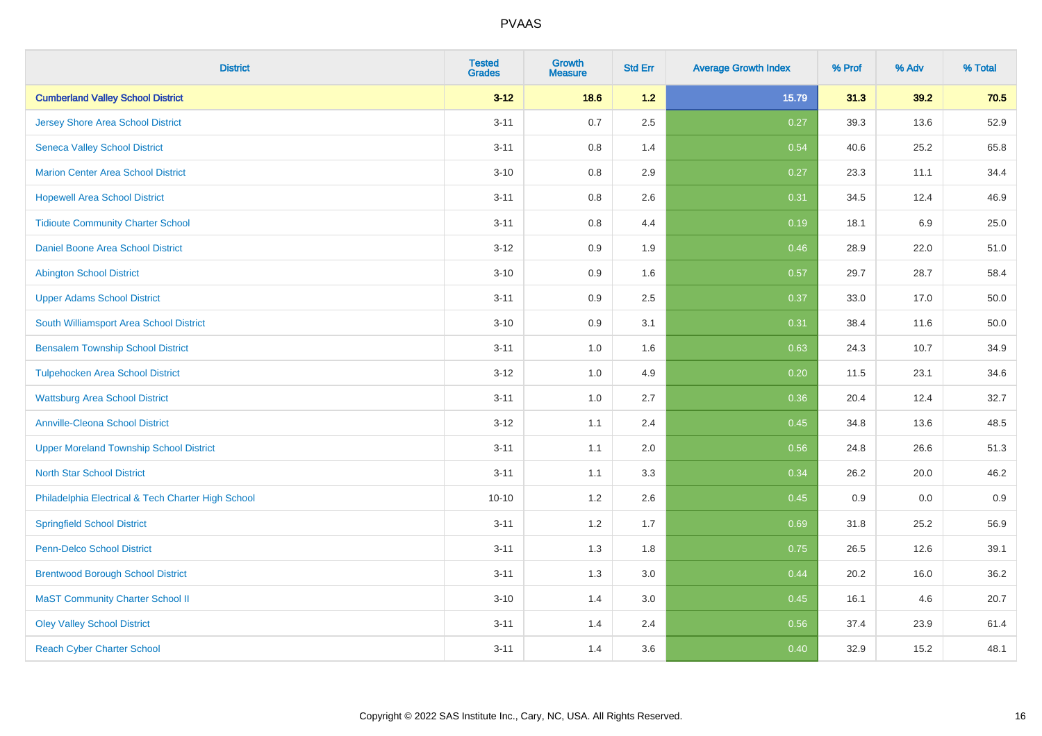| <b>District</b>                                    | <b>Tested</b><br><b>Grades</b> | <b>Growth</b><br><b>Measure</b> | <b>Std Err</b> | <b>Average Growth Index</b> | % Prof | % Adv | % Total |
|----------------------------------------------------|--------------------------------|---------------------------------|----------------|-----------------------------|--------|-------|---------|
| <b>Cumberland Valley School District</b>           | $3 - 12$                       | 18.6                            | 1.2            | 15.79                       | 31.3   | 39.2  | 70.5    |
| <b>Jersey Shore Area School District</b>           | $3 - 11$                       | 0.7                             | 2.5            | 0.27                        | 39.3   | 13.6  | 52.9    |
| <b>Seneca Valley School District</b>               | $3 - 11$                       | 0.8                             | 1.4            | 0.54                        | 40.6   | 25.2  | 65.8    |
| <b>Marion Center Area School District</b>          | $3 - 10$                       | 0.8                             | 2.9            | 0.27                        | 23.3   | 11.1  | 34.4    |
| <b>Hopewell Area School District</b>               | $3 - 11$                       | 0.8                             | 2.6            | 0.31                        | 34.5   | 12.4  | 46.9    |
| <b>Tidioute Community Charter School</b>           | $3 - 11$                       | 0.8                             | 4.4            | 0.19                        | 18.1   | 6.9   | 25.0    |
| Daniel Boone Area School District                  | $3 - 12$                       | 0.9                             | 1.9            | 0.46                        | 28.9   | 22.0  | 51.0    |
| <b>Abington School District</b>                    | $3 - 10$                       | 0.9                             | 1.6            | 0.57                        | 29.7   | 28.7  | 58.4    |
| <b>Upper Adams School District</b>                 | $3 - 11$                       | 0.9                             | 2.5            | 0.37                        | 33.0   | 17.0  | 50.0    |
| South Williamsport Area School District            | $3 - 10$                       | 0.9                             | 3.1            | 0.31                        | 38.4   | 11.6  | 50.0    |
| <b>Bensalem Township School District</b>           | $3 - 11$                       | 1.0                             | 1.6            | 0.63                        | 24.3   | 10.7  | 34.9    |
| <b>Tulpehocken Area School District</b>            | $3 - 12$                       | 1.0                             | 4.9            | 0.20                        | 11.5   | 23.1  | 34.6    |
| <b>Wattsburg Area School District</b>              | $3 - 11$                       | 1.0                             | 2.7            | 0.36                        | 20.4   | 12.4  | 32.7    |
| <b>Annville-Cleona School District</b>             | $3 - 12$                       | 1.1                             | 2.4            | 0.45                        | 34.8   | 13.6  | 48.5    |
| <b>Upper Moreland Township School District</b>     | $3 - 11$                       | 1.1                             | 2.0            | 0.56                        | 24.8   | 26.6  | 51.3    |
| <b>North Star School District</b>                  | $3 - 11$                       | 1.1                             | 3.3            | 0.34                        | 26.2   | 20.0  | 46.2    |
| Philadelphia Electrical & Tech Charter High School | $10 - 10$                      | $1.2\,$                         | 2.6            | 0.45                        | 0.9    | 0.0   | 0.9     |
| <b>Springfield School District</b>                 | $3 - 11$                       | 1.2                             | 1.7            | 0.69                        | 31.8   | 25.2  | 56.9    |
| <b>Penn-Delco School District</b>                  | $3 - 11$                       | 1.3                             | 1.8            | 0.75                        | 26.5   | 12.6  | 39.1    |
| <b>Brentwood Borough School District</b>           | $3 - 11$                       | 1.3                             | 3.0            | 0.44                        | 20.2   | 16.0  | 36.2    |
| <b>MaST Community Charter School II</b>            | $3 - 10$                       | 1.4                             | 3.0            | 0.45                        | 16.1   | 4.6   | 20.7    |
| <b>Oley Valley School District</b>                 | $3 - 11$                       | 1.4                             | 2.4            | 0.56                        | 37.4   | 23.9  | 61.4    |
| <b>Reach Cyber Charter School</b>                  | $3 - 11$                       | 1.4                             | 3.6            | 0.40                        | 32.9   | 15.2  | 48.1    |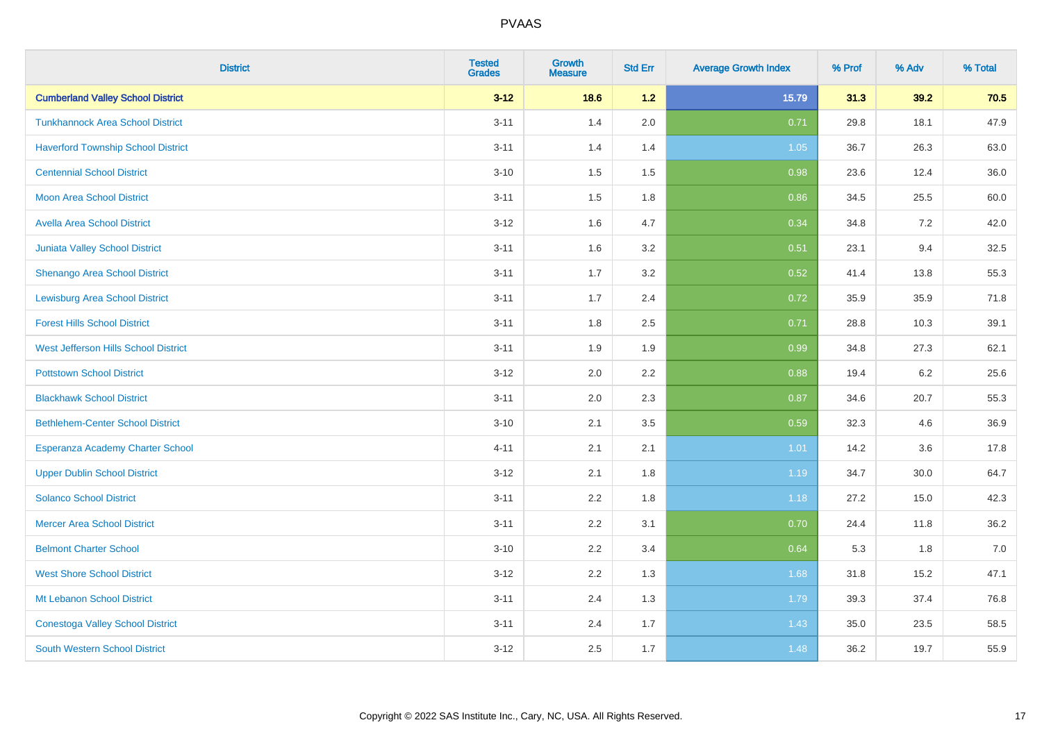| <b>District</b>                           | <b>Tested</b><br><b>Grades</b> | <b>Growth</b><br><b>Measure</b> | <b>Std Err</b> | <b>Average Growth Index</b> | % Prof | % Adv | % Total |
|-------------------------------------------|--------------------------------|---------------------------------|----------------|-----------------------------|--------|-------|---------|
| <b>Cumberland Valley School District</b>  | $3 - 12$                       | 18.6                            | 1.2            | 15.79                       | 31.3   | 39.2  | 70.5    |
| <b>Tunkhannock Area School District</b>   | $3 - 11$                       | 1.4                             | 2.0            | 0.71                        | 29.8   | 18.1  | 47.9    |
| <b>Haverford Township School District</b> | $3 - 11$                       | 1.4                             | 1.4            | 1.05                        | 36.7   | 26.3  | 63.0    |
| <b>Centennial School District</b>         | $3 - 10$                       | 1.5                             | 1.5            | 0.98                        | 23.6   | 12.4  | 36.0    |
| <b>Moon Area School District</b>          | $3 - 11$                       | 1.5                             | 1.8            | 0.86                        | 34.5   | 25.5  | 60.0    |
| <b>Avella Area School District</b>        | $3 - 12$                       | 1.6                             | 4.7            | 0.34                        | 34.8   | 7.2   | 42.0    |
| <b>Juniata Valley School District</b>     | $3 - 11$                       | 1.6                             | 3.2            | 0.51                        | 23.1   | 9.4   | 32.5    |
| <b>Shenango Area School District</b>      | $3 - 11$                       | 1.7                             | 3.2            | 0.52                        | 41.4   | 13.8  | 55.3    |
| <b>Lewisburg Area School District</b>     | $3 - 11$                       | 1.7                             | 2.4            | 0.72                        | 35.9   | 35.9  | 71.8    |
| <b>Forest Hills School District</b>       | $3 - 11$                       | 1.8                             | 2.5            | 0.71                        | 28.8   | 10.3  | 39.1    |
| West Jefferson Hills School District      | $3 - 11$                       | 1.9                             | 1.9            | 0.99                        | 34.8   | 27.3  | 62.1    |
| <b>Pottstown School District</b>          | $3 - 12$                       | 2.0                             | 2.2            | 0.88                        | 19.4   | 6.2   | 25.6    |
| <b>Blackhawk School District</b>          | $3 - 11$                       | 2.0                             | 2.3            | 0.87                        | 34.6   | 20.7  | 55.3    |
| <b>Bethlehem-Center School District</b>   | $3 - 10$                       | 2.1                             | 3.5            | 0.59                        | 32.3   | 4.6   | 36.9    |
| Esperanza Academy Charter School          | $4 - 11$                       | 2.1                             | 2.1            | 1.01                        | 14.2   | 3.6   | 17.8    |
| <b>Upper Dublin School District</b>       | $3 - 12$                       | 2.1                             | 1.8            | 1.19                        | 34.7   | 30.0  | 64.7    |
| <b>Solanco School District</b>            | $3 - 11$                       | 2.2                             | 1.8            | 1.18                        | 27.2   | 15.0  | 42.3    |
| <b>Mercer Area School District</b>        | $3 - 11$                       | 2.2                             | 3.1            | 0.70                        | 24.4   | 11.8  | 36.2    |
| <b>Belmont Charter School</b>             | $3 - 10$                       | 2.2                             | 3.4            | 0.64                        | 5.3    | 1.8   | $7.0$   |
| <b>West Shore School District</b>         | $3 - 12$                       | 2.2                             | 1.3            | 1.68                        | 31.8   | 15.2  | 47.1    |
| Mt Lebanon School District                | $3 - 11$                       | 2.4                             | 1.3            | 1.79                        | 39.3   | 37.4  | 76.8    |
| <b>Conestoga Valley School District</b>   | $3 - 11$                       | 2.4                             | 1.7            | 1.43                        | 35.0   | 23.5  | 58.5    |
| <b>South Western School District</b>      | $3 - 12$                       | 2.5                             | 1.7            | 1.48                        | 36.2   | 19.7  | 55.9    |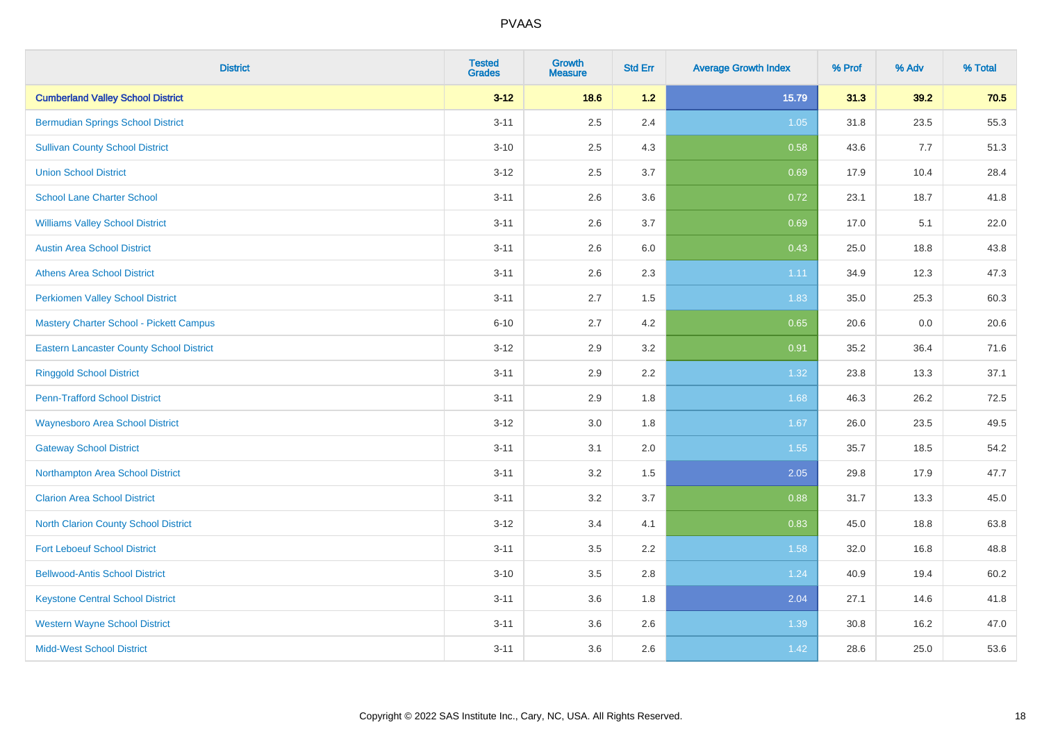| <b>District</b>                                 | <b>Tested</b><br><b>Grades</b> | <b>Growth</b><br><b>Measure</b> | <b>Std Err</b> | <b>Average Growth Index</b> | % Prof | % Adv | % Total |
|-------------------------------------------------|--------------------------------|---------------------------------|----------------|-----------------------------|--------|-------|---------|
| <b>Cumberland Valley School District</b>        | $3 - 12$                       | 18.6                            | 1.2            | 15.79                       | 31.3   | 39.2  | 70.5    |
| <b>Bermudian Springs School District</b>        | $3 - 11$                       | 2.5                             | 2.4            | $1.05$                      | 31.8   | 23.5  | 55.3    |
| <b>Sullivan County School District</b>          | $3 - 10$                       | 2.5                             | 4.3            | 0.58                        | 43.6   | 7.7   | 51.3    |
| <b>Union School District</b>                    | $3 - 12$                       | 2.5                             | 3.7            | 0.69                        | 17.9   | 10.4  | 28.4    |
| <b>School Lane Charter School</b>               | $3 - 11$                       | 2.6                             | 3.6            | 0.72                        | 23.1   | 18.7  | 41.8    |
| <b>Williams Valley School District</b>          | $3 - 11$                       | 2.6                             | 3.7            | 0.69                        | 17.0   | 5.1   | 22.0    |
| <b>Austin Area School District</b>              | $3 - 11$                       | 2.6                             | 6.0            | 0.43                        | 25.0   | 18.8  | 43.8    |
| <b>Athens Area School District</b>              | $3 - 11$                       | 2.6                             | 2.3            | 1.11                        | 34.9   | 12.3  | 47.3    |
| <b>Perkiomen Valley School District</b>         | $3 - 11$                       | 2.7                             | 1.5            | 1.83                        | 35.0   | 25.3  | 60.3    |
| <b>Mastery Charter School - Pickett Campus</b>  | $6 - 10$                       | 2.7                             | 4.2            | 0.65                        | 20.6   | 0.0   | 20.6    |
| <b>Eastern Lancaster County School District</b> | $3 - 12$                       | 2.9                             | 3.2            | 0.91                        | 35.2   | 36.4  | 71.6    |
| <b>Ringgold School District</b>                 | $3 - 11$                       | 2.9                             | 2.2            | 1.32                        | 23.8   | 13.3  | 37.1    |
| <b>Penn-Trafford School District</b>            | $3 - 11$                       | 2.9                             | 1.8            | 1.68                        | 46.3   | 26.2  | 72.5    |
| <b>Waynesboro Area School District</b>          | $3 - 12$                       | 3.0                             | 1.8            | 1.67                        | 26.0   | 23.5  | 49.5    |
| <b>Gateway School District</b>                  | $3 - 11$                       | 3.1                             | 2.0            | 1.55                        | 35.7   | 18.5  | 54.2    |
| Northampton Area School District                | $3 - 11$                       | 3.2                             | 1.5            | 2.05                        | 29.8   | 17.9  | 47.7    |
| <b>Clarion Area School District</b>             | $3 - 11$                       | $3.2\,$                         | 3.7            | 0.88                        | 31.7   | 13.3  | 45.0    |
| North Clarion County School District            | $3 - 12$                       | 3.4                             | 4.1            | 0.83                        | 45.0   | 18.8  | 63.8    |
| <b>Fort Leboeuf School District</b>             | $3 - 11$                       | 3.5                             | 2.2            | 1.58                        | 32.0   | 16.8  | 48.8    |
| <b>Bellwood-Antis School District</b>           | $3 - 10$                       | 3.5                             | 2.8            | 1.24                        | 40.9   | 19.4  | 60.2    |
| <b>Keystone Central School District</b>         | $3 - 11$                       | 3.6                             | 1.8            | 2.04                        | 27.1   | 14.6  | 41.8    |
| <b>Western Wayne School District</b>            | $3 - 11$                       | 3.6                             | 2.6            | 1.39                        | 30.8   | 16.2  | 47.0    |
| <b>Midd-West School District</b>                | $3 - 11$                       | 3.6                             | 2.6            | 1.42                        | 28.6   | 25.0  | 53.6    |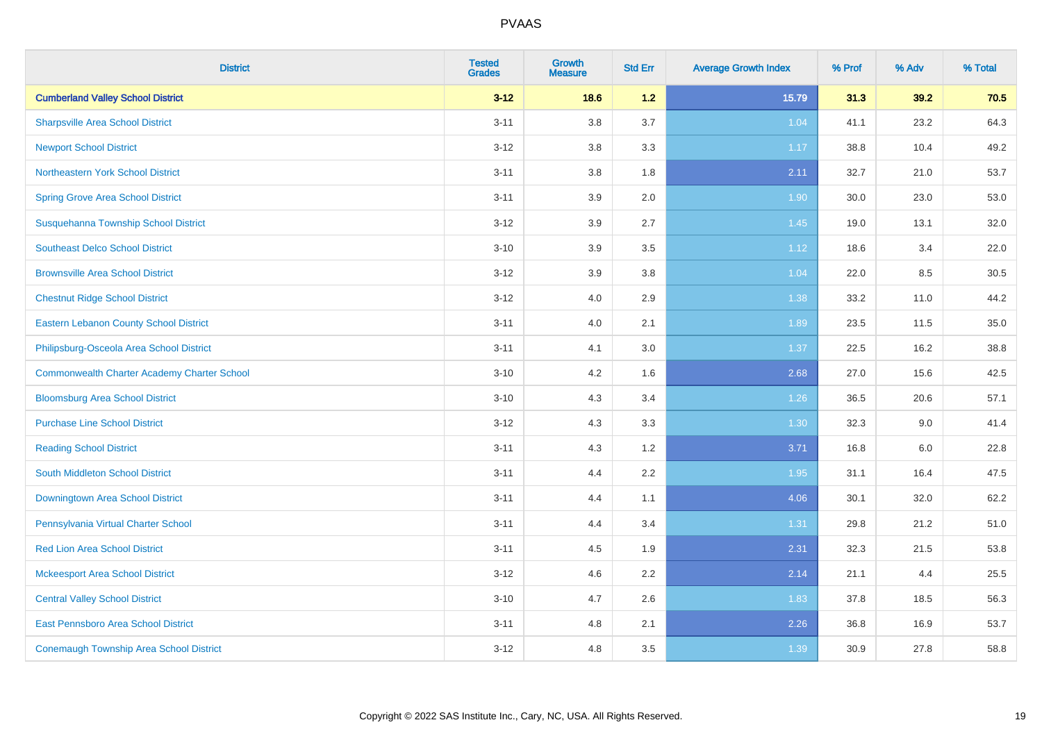| <b>District</b>                                    | <b>Tested</b><br><b>Grades</b> | <b>Growth</b><br><b>Measure</b> | <b>Std Err</b> | <b>Average Growth Index</b> | % Prof | % Adv   | % Total |
|----------------------------------------------------|--------------------------------|---------------------------------|----------------|-----------------------------|--------|---------|---------|
| <b>Cumberland Valley School District</b>           | $3 - 12$                       | 18.6                            | 1.2            | 15.79                       | 31.3   | 39.2    | 70.5    |
| <b>Sharpsville Area School District</b>            | $3 - 11$                       | $3.8\,$                         | 3.7            | 1.04                        | 41.1   | 23.2    | 64.3    |
| <b>Newport School District</b>                     | $3 - 12$                       | 3.8                             | 3.3            | 1.17                        | 38.8   | 10.4    | 49.2    |
| Northeastern York School District                  | $3 - 11$                       | 3.8                             | 1.8            | 2.11                        | 32.7   | 21.0    | 53.7    |
| <b>Spring Grove Area School District</b>           | $3 - 11$                       | 3.9                             | 2.0            | 1.90                        | 30.0   | 23.0    | 53.0    |
| Susquehanna Township School District               | $3 - 12$                       | 3.9                             | 2.7            | 1.45                        | 19.0   | 13.1    | 32.0    |
| <b>Southeast Delco School District</b>             | $3 - 10$                       | 3.9                             | 3.5            | 1.12                        | 18.6   | 3.4     | 22.0    |
| <b>Brownsville Area School District</b>            | $3 - 12$                       | 3.9                             | 3.8            | 1.04                        | 22.0   | 8.5     | 30.5    |
| <b>Chestnut Ridge School District</b>              | $3 - 12$                       | 4.0                             | 2.9            | 1.38                        | 33.2   | 11.0    | 44.2    |
| <b>Eastern Lebanon County School District</b>      | $3 - 11$                       | 4.0                             | 2.1            | 1.89                        | 23.5   | 11.5    | 35.0    |
| Philipsburg-Osceola Area School District           | $3 - 11$                       | 4.1                             | 3.0            | 1.37                        | 22.5   | 16.2    | 38.8    |
| <b>Commonwealth Charter Academy Charter School</b> | $3 - 10$                       | 4.2                             | 1.6            | 2.68                        | 27.0   | 15.6    | 42.5    |
| <b>Bloomsburg Area School District</b>             | $3 - 10$                       | 4.3                             | 3.4            | 1.26                        | 36.5   | 20.6    | 57.1    |
| <b>Purchase Line School District</b>               | $3 - 12$                       | 4.3                             | 3.3            | 1.30                        | 32.3   | 9.0     | 41.4    |
| <b>Reading School District</b>                     | $3 - 11$                       | 4.3                             | 1.2            | 3.71                        | 16.8   | $6.0\,$ | 22.8    |
| South Middleton School District                    | $3 - 11$                       | 4.4                             | 2.2            | 1.95                        | 31.1   | 16.4    | 47.5    |
| Downingtown Area School District                   | $3 - 11$                       | 4.4                             | 1.1            | 4.06                        | 30.1   | 32.0    | 62.2    |
| Pennsylvania Virtual Charter School                | $3 - 11$                       | 4.4                             | 3.4            | 1.31                        | 29.8   | 21.2    | 51.0    |
| <b>Red Lion Area School District</b>               | $3 - 11$                       | 4.5                             | 1.9            | 2.31                        | 32.3   | 21.5    | 53.8    |
| <b>Mckeesport Area School District</b>             | $3 - 12$                       | 4.6                             | 2.2            | 2.14                        | 21.1   | 4.4     | 25.5    |
| <b>Central Valley School District</b>              | $3 - 10$                       | 4.7                             | $2.6\,$        | 1.83                        | 37.8   | 18.5    | 56.3    |
| East Pennsboro Area School District                | $3 - 11$                       | 4.8                             | 2.1            | 2.26                        | 36.8   | 16.9    | 53.7    |
| <b>Conemaugh Township Area School District</b>     | $3 - 12$                       | 4.8                             | 3.5            | 1.39                        | 30.9   | 27.8    | 58.8    |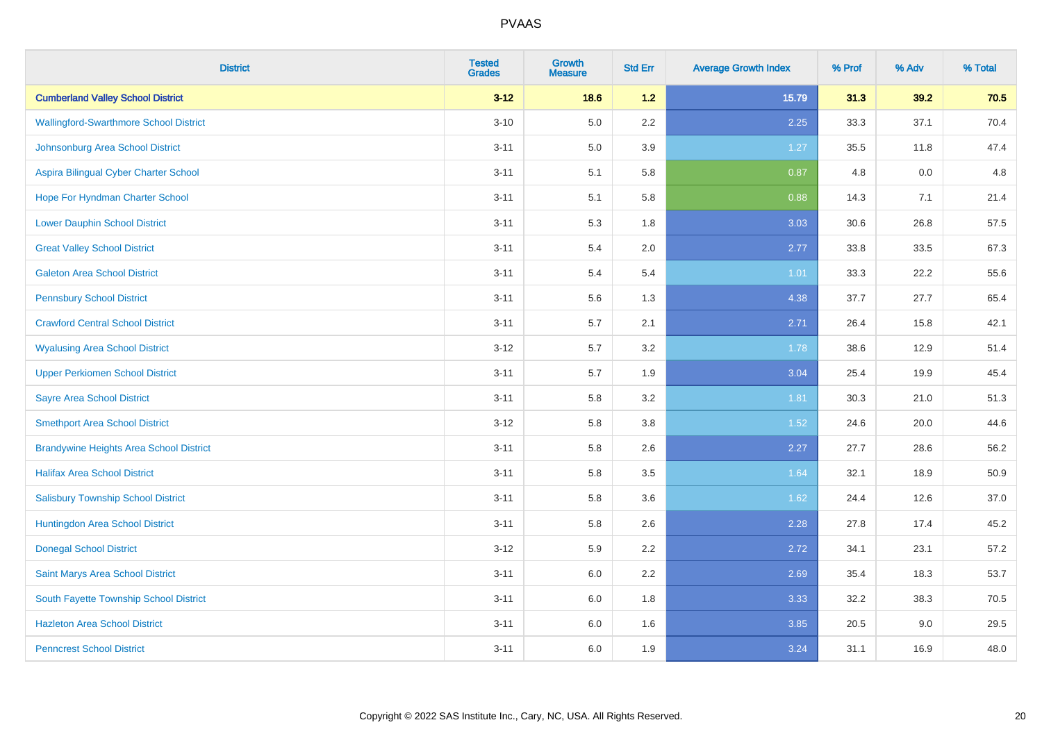| <b>District</b>                                | <b>Tested</b><br><b>Grades</b> | <b>Growth</b><br><b>Measure</b> | <b>Std Err</b> | <b>Average Growth Index</b> | % Prof | % Adv | % Total |
|------------------------------------------------|--------------------------------|---------------------------------|----------------|-----------------------------|--------|-------|---------|
| <b>Cumberland Valley School District</b>       | $3 - 12$                       | 18.6                            | 1.2            | 15.79                       | 31.3   | 39.2  | 70.5    |
| <b>Wallingford-Swarthmore School District</b>  | $3 - 10$                       | 5.0                             | 2.2            | 2.25                        | 33.3   | 37.1  | 70.4    |
| Johnsonburg Area School District               | $3 - 11$                       | 5.0                             | 3.9            | 1.27                        | 35.5   | 11.8  | 47.4    |
| Aspira Bilingual Cyber Charter School          | $3 - 11$                       | 5.1                             | 5.8            | 0.87                        | 4.8    | 0.0   | 4.8     |
| Hope For Hyndman Charter School                | $3 - 11$                       | 5.1                             | 5.8            | 0.88                        | 14.3   | 7.1   | 21.4    |
| <b>Lower Dauphin School District</b>           | $3 - 11$                       | 5.3                             | 1.8            | 3.03                        | 30.6   | 26.8  | 57.5    |
| <b>Great Valley School District</b>            | $3 - 11$                       | 5.4                             | 2.0            | 2.77                        | 33.8   | 33.5  | 67.3    |
| <b>Galeton Area School District</b>            | $3 - 11$                       | 5.4                             | 5.4            | 1.01                        | 33.3   | 22.2  | 55.6    |
| <b>Pennsbury School District</b>               | $3 - 11$                       | 5.6                             | 1.3            | 4.38                        | 37.7   | 27.7  | 65.4    |
| <b>Crawford Central School District</b>        | $3 - 11$                       | 5.7                             | 2.1            | 2.71                        | 26.4   | 15.8  | 42.1    |
| <b>Wyalusing Area School District</b>          | $3 - 12$                       | 5.7                             | 3.2            | 1.78                        | 38.6   | 12.9  | 51.4    |
| <b>Upper Perkiomen School District</b>         | $3 - 11$                       | 5.7                             | 1.9            | 3.04                        | 25.4   | 19.9  | 45.4    |
| <b>Sayre Area School District</b>              | $3 - 11$                       | 5.8                             | 3.2            | 1.81                        | 30.3   | 21.0  | 51.3    |
| <b>Smethport Area School District</b>          | $3 - 12$                       | 5.8                             | 3.8            | 1.52                        | 24.6   | 20.0  | 44.6    |
| <b>Brandywine Heights Area School District</b> | $3 - 11$                       | 5.8                             | 2.6            | 2.27                        | 27.7   | 28.6  | 56.2    |
| <b>Halifax Area School District</b>            | $3 - 11$                       | 5.8                             | 3.5            | 1.64                        | 32.1   | 18.9  | 50.9    |
| <b>Salisbury Township School District</b>      | $3 - 11$                       | 5.8                             | 3.6            | 1.62                        | 24.4   | 12.6  | 37.0    |
| Huntingdon Area School District                | $3 - 11$                       | 5.8                             | 2.6            | 2.28                        | 27.8   | 17.4  | 45.2    |
| <b>Donegal School District</b>                 | $3 - 12$                       | 5.9                             | 2.2            | 2.72                        | 34.1   | 23.1  | 57.2    |
| Saint Marys Area School District               | $3 - 11$                       | 6.0                             | 2.2            | 2.69                        | 35.4   | 18.3  | 53.7    |
| South Fayette Township School District         | $3 - 11$                       | 6.0                             | 1.8            | 3.33                        | 32.2   | 38.3  | 70.5    |
| <b>Hazleton Area School District</b>           | $3 - 11$                       | 6.0                             | 1.6            | 3.85                        | 20.5   | 9.0   | 29.5    |
| <b>Penncrest School District</b>               | $3 - 11$                       | 6.0                             | 1.9            | 3.24                        | 31.1   | 16.9  | 48.0    |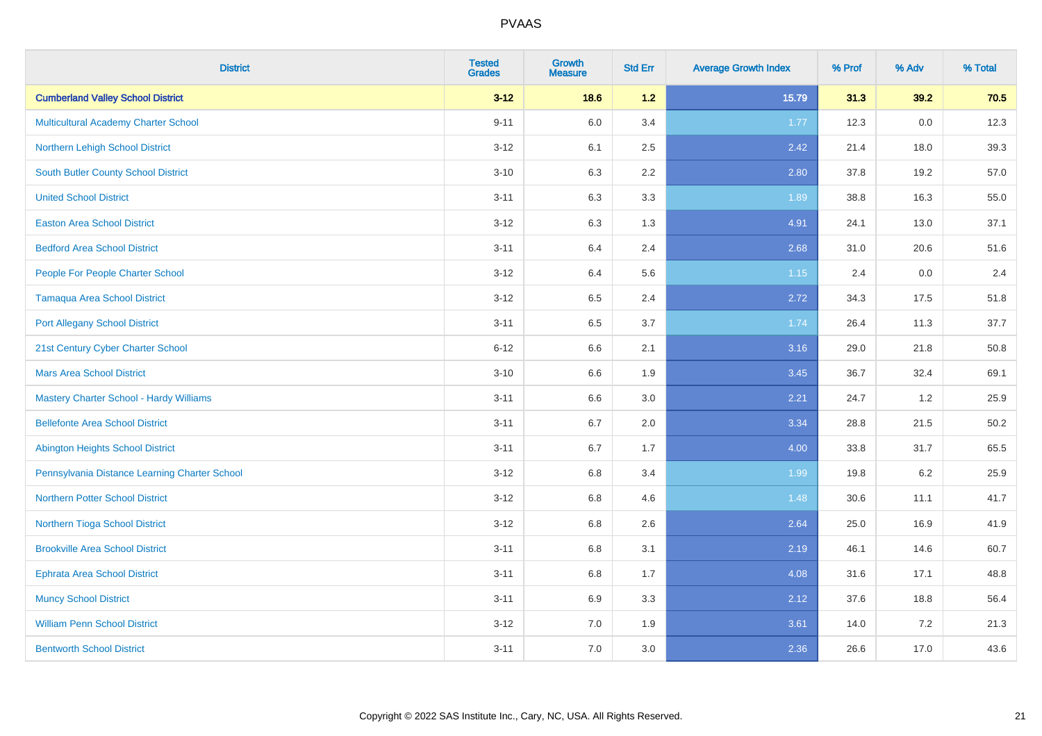| <b>District</b>                                | <b>Tested</b><br><b>Grades</b> | <b>Growth</b><br><b>Measure</b> | <b>Std Err</b> | <b>Average Growth Index</b> | % Prof | % Adv   | % Total |
|------------------------------------------------|--------------------------------|---------------------------------|----------------|-----------------------------|--------|---------|---------|
| <b>Cumberland Valley School District</b>       | $3 - 12$                       | 18.6                            | 1.2            | 15.79                       | 31.3   | 39.2    | 70.5    |
| <b>Multicultural Academy Charter School</b>    | $9 - 11$                       | 6.0                             | 3.4            | 1.77                        | 12.3   | 0.0     | 12.3    |
| Northern Lehigh School District                | $3 - 12$                       | 6.1                             | 2.5            | 2.42                        | 21.4   | 18.0    | 39.3    |
| <b>South Butler County School District</b>     | $3 - 10$                       | 6.3                             | 2.2            | 2.80                        | 37.8   | 19.2    | 57.0    |
| <b>United School District</b>                  | $3 - 11$                       | 6.3                             | 3.3            | 1.89                        | 38.8   | 16.3    | 55.0    |
| <b>Easton Area School District</b>             | $3 - 12$                       | 6.3                             | 1.3            | 4.91                        | 24.1   | 13.0    | 37.1    |
| <b>Bedford Area School District</b>            | $3 - 11$                       | 6.4                             | 2.4            | 2.68                        | 31.0   | 20.6    | 51.6    |
| People For People Charter School               | $3 - 12$                       | 6.4                             | 5.6            | $1.15$                      | 2.4    | 0.0     | 2.4     |
| <b>Tamaqua Area School District</b>            | $3-12$                         | 6.5                             | 2.4            | 2.72                        | 34.3   | 17.5    | 51.8    |
| <b>Port Allegany School District</b>           | $3 - 11$                       | 6.5                             | 3.7            | 1.74                        | 26.4   | 11.3    | 37.7    |
| 21st Century Cyber Charter School              | $6 - 12$                       | 6.6                             | 2.1            | 3.16                        | 29.0   | 21.8    | 50.8    |
| <b>Mars Area School District</b>               | $3 - 10$                       | 6.6                             | 1.9            | 3.45                        | 36.7   | 32.4    | 69.1    |
| <b>Mastery Charter School - Hardy Williams</b> | $3 - 11$                       | 6.6                             | 3.0            | 2.21                        | 24.7   | 1.2     | 25.9    |
| <b>Bellefonte Area School District</b>         | $3 - 11$                       | 6.7                             | 2.0            | 3.34                        | 28.8   | 21.5    | 50.2    |
| <b>Abington Heights School District</b>        | $3 - 11$                       | 6.7                             | 1.7            | 4.00                        | 33.8   | 31.7    | 65.5    |
| Pennsylvania Distance Learning Charter School  | $3 - 12$                       | 6.8                             | 3.4            | 1.99                        | 19.8   | $6.2\,$ | 25.9    |
| <b>Northern Potter School District</b>         | $3 - 12$                       | 6.8                             | 4.6            | 1.48                        | 30.6   | 11.1    | 41.7    |
| Northern Tioga School District                 | $3 - 12$                       | 6.8                             | 2.6            | 2.64                        | 25.0   | 16.9    | 41.9    |
| <b>Brookville Area School District</b>         | $3 - 11$                       | $6.8\,$                         | 3.1            | 2.19                        | 46.1   | 14.6    | 60.7    |
| <b>Ephrata Area School District</b>            | $3 - 11$                       | $6.8\,$                         | 1.7            | 4.08                        | 31.6   | 17.1    | 48.8    |
| <b>Muncy School District</b>                   | $3 - 11$                       | 6.9                             | 3.3            | 2.12                        | 37.6   | 18.8    | 56.4    |
| <b>William Penn School District</b>            | $3-12$                         | 7.0                             | 1.9            | 3.61                        | 14.0   | 7.2     | 21.3    |
| <b>Bentworth School District</b>               | $3 - 11$                       | 7.0                             | 3.0            | 2.36                        | 26.6   | 17.0    | 43.6    |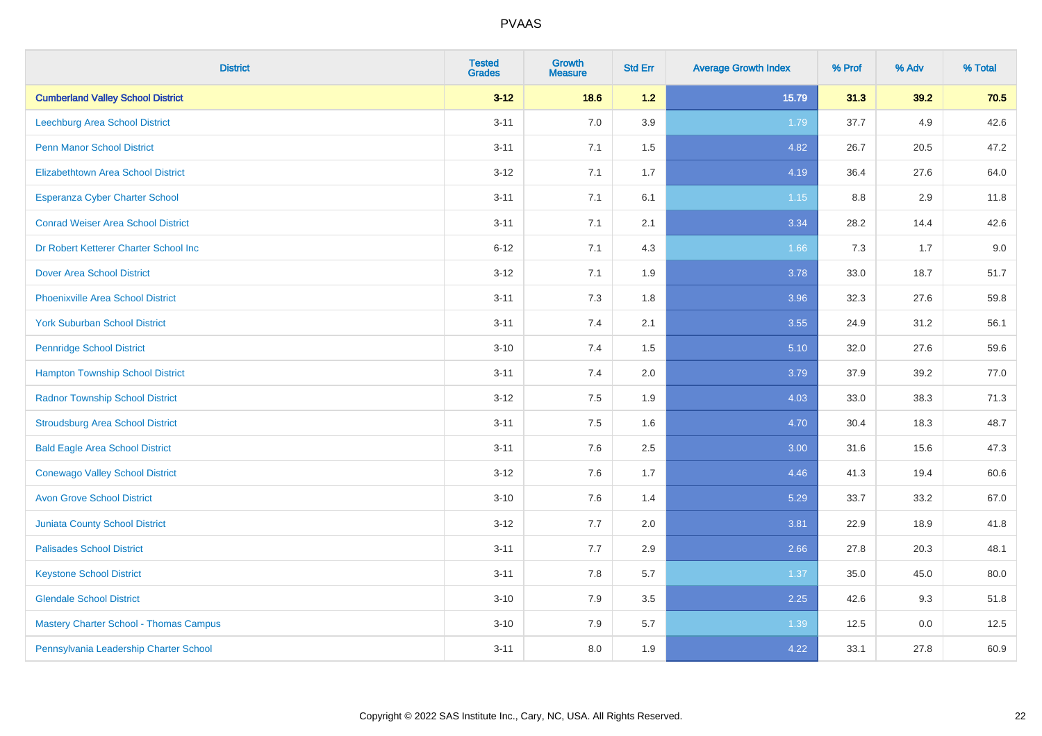| <b>District</b>                               | <b>Tested</b><br><b>Grades</b> | <b>Growth</b><br><b>Measure</b> | <b>Std Err</b> | <b>Average Growth Index</b> | % Prof | % Adv | % Total |
|-----------------------------------------------|--------------------------------|---------------------------------|----------------|-----------------------------|--------|-------|---------|
| <b>Cumberland Valley School District</b>      | $3 - 12$                       | 18.6                            | 1.2            | 15.79                       | 31.3   | 39.2  | 70.5    |
| Leechburg Area School District                | $3 - 11$                       | 7.0                             | 3.9            | 1.79                        | 37.7   | 4.9   | 42.6    |
| <b>Penn Manor School District</b>             | $3 - 11$                       | 7.1                             | 1.5            | 4.82                        | 26.7   | 20.5  | 47.2    |
| <b>Elizabethtown Area School District</b>     | $3 - 12$                       | 7.1                             | 1.7            | 4.19                        | 36.4   | 27.6  | 64.0    |
| <b>Esperanza Cyber Charter School</b>         | $3 - 11$                       | 7.1                             | 6.1            | $1.15$                      | 8.8    | 2.9   | 11.8    |
| <b>Conrad Weiser Area School District</b>     | $3 - 11$                       | 7.1                             | 2.1            | 3.34                        | 28.2   | 14.4  | 42.6    |
| Dr Robert Ketterer Charter School Inc         | $6 - 12$                       | 7.1                             | 4.3            | 1.66                        | 7.3    | 1.7   | 9.0     |
| <b>Dover Area School District</b>             | $3 - 12$                       | 7.1                             | 1.9            | 3.78                        | 33.0   | 18.7  | 51.7    |
| <b>Phoenixville Area School District</b>      | $3 - 11$                       | 7.3                             | 1.8            | 3.96                        | 32.3   | 27.6  | 59.8    |
| <b>York Suburban School District</b>          | $3 - 11$                       | 7.4                             | 2.1            | 3.55                        | 24.9   | 31.2  | 56.1    |
| <b>Pennridge School District</b>              | $3 - 10$                       | 7.4                             | 1.5            | 5.10                        | 32.0   | 27.6  | 59.6    |
| <b>Hampton Township School District</b>       | $3 - 11$                       | 7.4                             | 2.0            | 3.79                        | 37.9   | 39.2  | 77.0    |
| <b>Radnor Township School District</b>        | $3 - 12$                       | 7.5                             | 1.9            | 4.03                        | 33.0   | 38.3  | 71.3    |
| <b>Stroudsburg Area School District</b>       | $3 - 11$                       | 7.5                             | 1.6            | 4.70                        | 30.4   | 18.3  | 48.7    |
| <b>Bald Eagle Area School District</b>        | $3 - 11$                       | 7.6                             | 2.5            | 3.00                        | 31.6   | 15.6  | 47.3    |
| <b>Conewago Valley School District</b>        | $3 - 12$                       | 7.6                             | 1.7            | 4.46                        | 41.3   | 19.4  | 60.6    |
| <b>Avon Grove School District</b>             | $3 - 10$                       | 7.6                             | 1.4            | 5.29                        | 33.7   | 33.2  | 67.0    |
| <b>Juniata County School District</b>         | $3 - 12$                       | 7.7                             | 2.0            | 3.81                        | 22.9   | 18.9  | 41.8    |
| <b>Palisades School District</b>              | $3 - 11$                       | 7.7                             | 2.9            | 2.66                        | 27.8   | 20.3  | 48.1    |
| <b>Keystone School District</b>               | $3 - 11$                       | 7.8                             | 5.7            | 1.37                        | 35.0   | 45.0  | 80.0    |
| <b>Glendale School District</b>               | $3 - 10$                       | 7.9                             | $3.5\,$        | 2.25                        | 42.6   | 9.3   | 51.8    |
| <b>Mastery Charter School - Thomas Campus</b> | $3 - 10$                       | 7.9                             | 5.7            | 1.39                        | 12.5   | 0.0   | 12.5    |
| Pennsylvania Leadership Charter School        | $3 - 11$                       | 8.0                             | 1.9            | 4.22                        | 33.1   | 27.8  | 60.9    |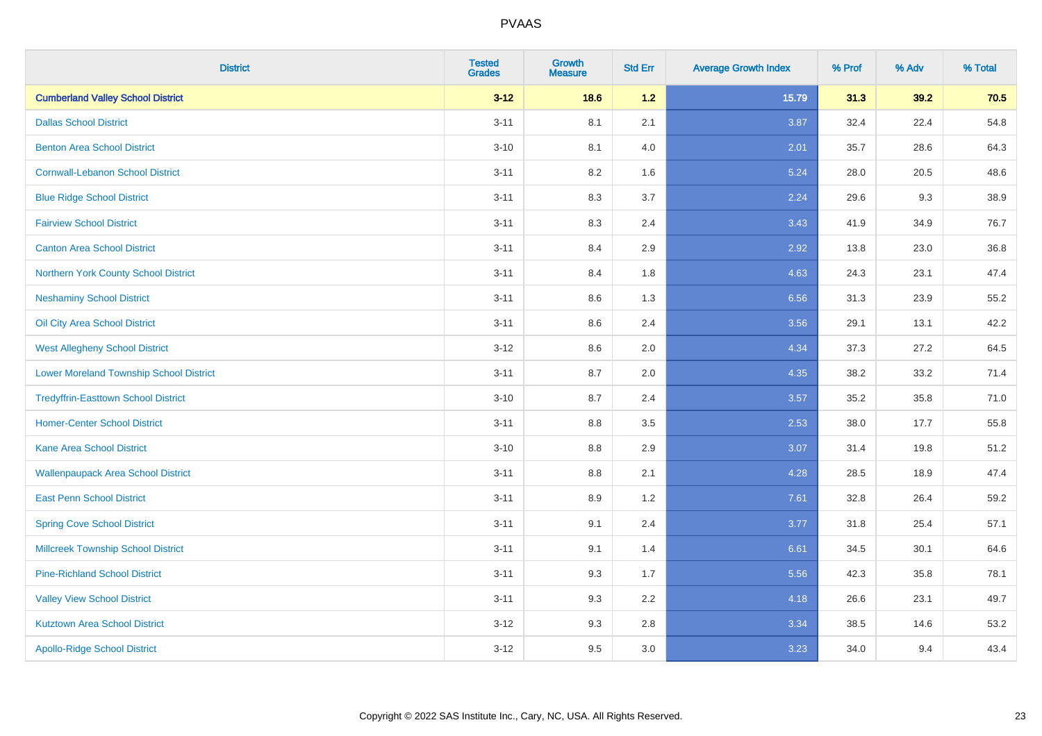| <b>District</b>                                | <b>Tested</b><br><b>Grades</b> | <b>Growth</b><br><b>Measure</b> | <b>Std Err</b> | <b>Average Growth Index</b> | % Prof | % Adv | % Total |
|------------------------------------------------|--------------------------------|---------------------------------|----------------|-----------------------------|--------|-------|---------|
| <b>Cumberland Valley School District</b>       | $3 - 12$                       | 18.6                            | 1.2            | 15.79                       | 31.3   | 39.2  | 70.5    |
| <b>Dallas School District</b>                  | $3 - 11$                       | 8.1                             | 2.1            | 3.87                        | 32.4   | 22.4  | 54.8    |
| <b>Benton Area School District</b>             | $3 - 10$                       | 8.1                             | 4.0            | 2.01                        | 35.7   | 28.6  | 64.3    |
| <b>Cornwall-Lebanon School District</b>        | $3 - 11$                       | 8.2                             | 1.6            | 5.24                        | 28.0   | 20.5  | 48.6    |
| <b>Blue Ridge School District</b>              | $3 - 11$                       | 8.3                             | 3.7            | 2.24                        | 29.6   | 9.3   | 38.9    |
| <b>Fairview School District</b>                | $3 - 11$                       | 8.3                             | 2.4            | 3.43                        | 41.9   | 34.9  | 76.7    |
| <b>Canton Area School District</b>             | $3 - 11$                       | 8.4                             | 2.9            | 2.92                        | 13.8   | 23.0  | 36.8    |
| Northern York County School District           | $3 - 11$                       | 8.4                             | 1.8            | 4.63                        | 24.3   | 23.1  | 47.4    |
| <b>Neshaminy School District</b>               | $3 - 11$                       | 8.6                             | 1.3            | 6.56                        | 31.3   | 23.9  | 55.2    |
| Oil City Area School District                  | $3 - 11$                       | 8.6                             | 2.4            | 3.56                        | 29.1   | 13.1  | 42.2    |
| <b>West Allegheny School District</b>          | $3 - 12$                       | 8.6                             | 2.0            | 4.34                        | 37.3   | 27.2  | 64.5    |
| <b>Lower Moreland Township School District</b> | $3 - 11$                       | 8.7                             | 2.0            | 4.35                        | 38.2   | 33.2  | 71.4    |
| <b>Tredyffrin-Easttown School District</b>     | $3 - 10$                       | 8.7                             | 2.4            | 3.57                        | 35.2   | 35.8  | 71.0    |
| <b>Homer-Center School District</b>            | $3 - 11$                       | 8.8                             | 3.5            | 2.53                        | 38.0   | 17.7  | 55.8    |
| <b>Kane Area School District</b>               | $3 - 10$                       | 8.8                             | 2.9            | 3.07                        | 31.4   | 19.8  | 51.2    |
| <b>Wallenpaupack Area School District</b>      | $3 - 11$                       | 8.8                             | 2.1            | 4.28                        | 28.5   | 18.9  | 47.4    |
| <b>East Penn School District</b>               | $3 - 11$                       | 8.9                             | 1.2            | 7.61                        | 32.8   | 26.4  | 59.2    |
| <b>Spring Cove School District</b>             | $3 - 11$                       | 9.1                             | 2.4            | 3.77                        | 31.8   | 25.4  | 57.1    |
| <b>Millcreek Township School District</b>      | $3 - 11$                       | 9.1                             | 1.4            | 6.61                        | 34.5   | 30.1  | 64.6    |
| <b>Pine-Richland School District</b>           | $3 - 11$                       | 9.3                             | 1.7            | 5.56                        | 42.3   | 35.8  | 78.1    |
| <b>Valley View School District</b>             | $3 - 11$                       | 9.3                             | 2.2            | 4.18                        | 26.6   | 23.1  | 49.7    |
| <b>Kutztown Area School District</b>           | $3 - 12$                       | 9.3                             | $2.8\,$        | 3.34                        | 38.5   | 14.6  | 53.2    |
| <b>Apollo-Ridge School District</b>            | $3-12$                         | 9.5                             | 3.0            | 3.23                        | 34.0   | 9.4   | 43.4    |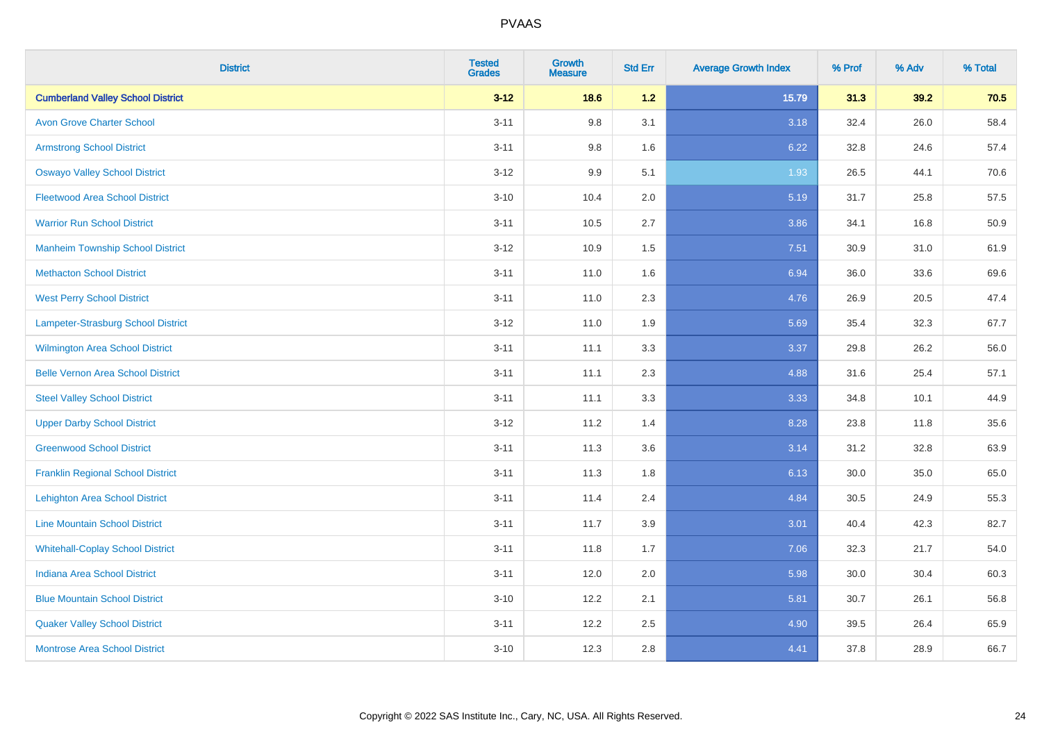| <b>District</b>                          | <b>Tested</b><br><b>Grades</b> | <b>Growth</b><br><b>Measure</b> | <b>Std Err</b> | <b>Average Growth Index</b> | % Prof | % Adv | % Total |
|------------------------------------------|--------------------------------|---------------------------------|----------------|-----------------------------|--------|-------|---------|
| <b>Cumberland Valley School District</b> | $3 - 12$                       | 18.6                            | 1.2            | 15.79                       | 31.3   | 39.2  | 70.5    |
| <b>Avon Grove Charter School</b>         | $3 - 11$                       | 9.8                             | 3.1            | 3.18                        | 32.4   | 26.0  | 58.4    |
| <b>Armstrong School District</b>         | $3 - 11$                       | 9.8                             | 1.6            | 6.22                        | 32.8   | 24.6  | 57.4    |
| <b>Oswayo Valley School District</b>     | $3 - 12$                       | 9.9                             | 5.1            | 1.93                        | 26.5   | 44.1  | 70.6    |
| <b>Fleetwood Area School District</b>    | $3 - 10$                       | 10.4                            | 2.0            | 5.19                        | 31.7   | 25.8  | 57.5    |
| <b>Warrior Run School District</b>       | $3 - 11$                       | 10.5                            | 2.7            | 3.86                        | 34.1   | 16.8  | 50.9    |
| <b>Manheim Township School District</b>  | $3 - 12$                       | 10.9                            | 1.5            | 7.51                        | 30.9   | 31.0  | 61.9    |
| <b>Methacton School District</b>         | $3 - 11$                       | 11.0                            | 1.6            | 6.94                        | 36.0   | 33.6  | 69.6    |
| <b>West Perry School District</b>        | $3 - 11$                       | 11.0                            | 2.3            | 4.76                        | 26.9   | 20.5  | 47.4    |
| Lampeter-Strasburg School District       | $3-12$                         | 11.0                            | 1.9            | 5.69                        | 35.4   | 32.3  | 67.7    |
| <b>Wilmington Area School District</b>   | $3 - 11$                       | 11.1                            | 3.3            | 3.37                        | 29.8   | 26.2  | 56.0    |
| <b>Belle Vernon Area School District</b> | $3 - 11$                       | 11.1                            | 2.3            | 4.88                        | 31.6   | 25.4  | 57.1    |
| <b>Steel Valley School District</b>      | $3 - 11$                       | 11.1                            | 3.3            | 3.33                        | 34.8   | 10.1  | 44.9    |
| <b>Upper Darby School District</b>       | $3 - 12$                       | 11.2                            | 1.4            | 8.28                        | 23.8   | 11.8  | 35.6    |
| <b>Greenwood School District</b>         | $3 - 11$                       | 11.3                            | 3.6            | 3.14                        | 31.2   | 32.8  | 63.9    |
| <b>Franklin Regional School District</b> | $3 - 11$                       | 11.3                            | 1.8            | 6.13                        | 30.0   | 35.0  | 65.0    |
| <b>Lehighton Area School District</b>    | $3 - 11$                       | 11.4                            | 2.4            | 4.84                        | 30.5   | 24.9  | 55.3    |
| <b>Line Mountain School District</b>     | $3 - 11$                       | 11.7                            | 3.9            | 3.01                        | 40.4   | 42.3  | 82.7    |
| <b>Whitehall-Coplay School District</b>  | $3 - 11$                       | 11.8                            | 1.7            | 7.06                        | 32.3   | 21.7  | 54.0    |
| <b>Indiana Area School District</b>      | $3 - 11$                       | 12.0                            | 2.0            | 5.98                        | 30.0   | 30.4  | 60.3    |
| <b>Blue Mountain School District</b>     | $3 - 10$                       | 12.2                            | 2.1            | 5.81                        | 30.7   | 26.1  | 56.8    |
| <b>Quaker Valley School District</b>     | $3 - 11$                       | 12.2                            | 2.5            | 4.90                        | 39.5   | 26.4  | 65.9    |
| <b>Montrose Area School District</b>     | $3 - 10$                       | 12.3                            | $2.8\,$        | 4.41                        | 37.8   | 28.9  | 66.7    |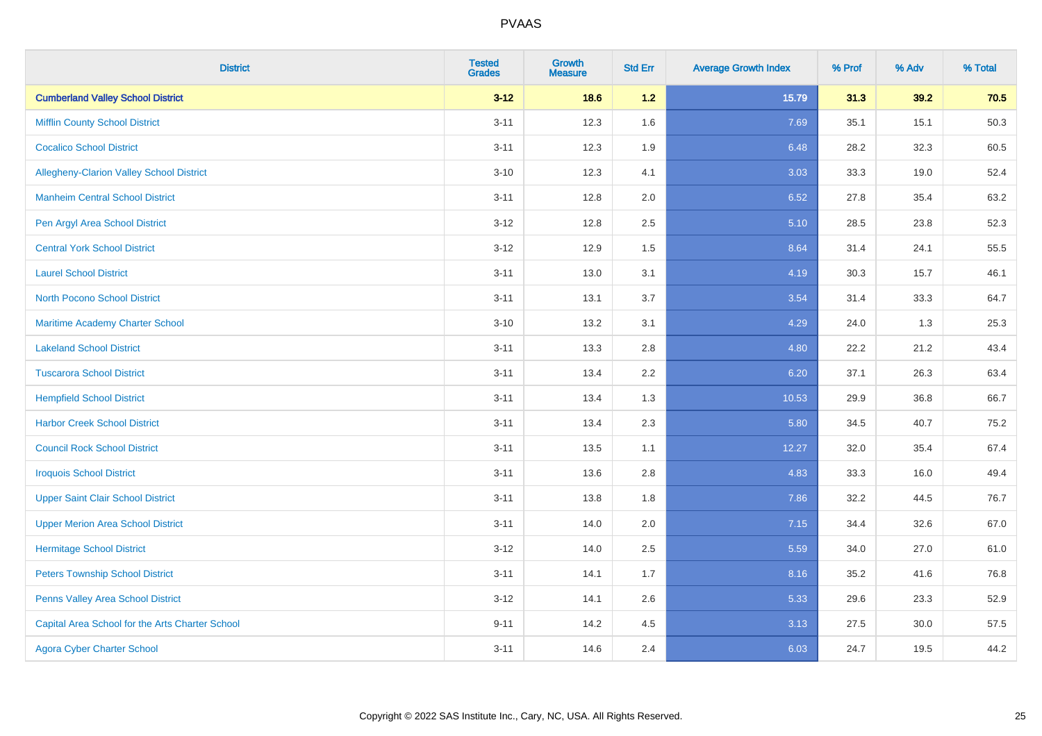| <b>District</b>                                 | <b>Tested</b><br><b>Grades</b> | Growth<br><b>Measure</b> | <b>Std Err</b> | <b>Average Growth Index</b> | % Prof | % Adv | % Total |
|-------------------------------------------------|--------------------------------|--------------------------|----------------|-----------------------------|--------|-------|---------|
| <b>Cumberland Valley School District</b>        | $3 - 12$                       | 18.6                     | $1.2$          | 15.79                       | 31.3   | 39.2  | 70.5    |
| <b>Mifflin County School District</b>           | $3 - 11$                       | 12.3                     | 1.6            | 7.69                        | 35.1   | 15.1  | 50.3    |
| <b>Cocalico School District</b>                 | $3 - 11$                       | 12.3                     | 1.9            | 6.48                        | 28.2   | 32.3  | 60.5    |
| Allegheny-Clarion Valley School District        | $3 - 10$                       | 12.3                     | 4.1            | 3.03                        | 33.3   | 19.0  | 52.4    |
| <b>Manheim Central School District</b>          | $3 - 11$                       | 12.8                     | 2.0            | 6.52                        | 27.8   | 35.4  | 63.2    |
| Pen Argyl Area School District                  | $3 - 12$                       | 12.8                     | 2.5            | 5.10                        | 28.5   | 23.8  | 52.3    |
| <b>Central York School District</b>             | $3-12$                         | 12.9                     | 1.5            | 8.64                        | 31.4   | 24.1  | 55.5    |
| <b>Laurel School District</b>                   | $3 - 11$                       | 13.0                     | 3.1            | 4.19                        | 30.3   | 15.7  | 46.1    |
| North Pocono School District                    | $3 - 11$                       | 13.1                     | 3.7            | 3.54                        | 31.4   | 33.3  | 64.7    |
| <b>Maritime Academy Charter School</b>          | $3 - 10$                       | 13.2                     | 3.1            | 4.29                        | 24.0   | 1.3   | 25.3    |
| <b>Lakeland School District</b>                 | $3 - 11$                       | 13.3                     | 2.8            | 4.80                        | 22.2   | 21.2  | 43.4    |
| <b>Tuscarora School District</b>                | $3 - 11$                       | 13.4                     | 2.2            | 6.20                        | 37.1   | 26.3  | 63.4    |
| <b>Hempfield School District</b>                | $3 - 11$                       | 13.4                     | 1.3            | 10.53                       | 29.9   | 36.8  | 66.7    |
| <b>Harbor Creek School District</b>             | $3 - 11$                       | 13.4                     | 2.3            | 5.80                        | 34.5   | 40.7  | 75.2    |
| <b>Council Rock School District</b>             | $3 - 11$                       | 13.5                     | 1.1            | 12.27                       | 32.0   | 35.4  | 67.4    |
| <b>Iroquois School District</b>                 | $3 - 11$                       | 13.6                     | 2.8            | 4.83                        | 33.3   | 16.0  | 49.4    |
| <b>Upper Saint Clair School District</b>        | $3 - 11$                       | 13.8                     | 1.8            | 7.86                        | 32.2   | 44.5  | 76.7    |
| <b>Upper Merion Area School District</b>        | $3 - 11$                       | 14.0                     | 2.0            | 7.15                        | 34.4   | 32.6  | 67.0    |
| <b>Hermitage School District</b>                | $3 - 12$                       | 14.0                     | 2.5            | 5.59                        | 34.0   | 27.0  | 61.0    |
| <b>Peters Township School District</b>          | $3 - 11$                       | 14.1                     | 1.7            | 8.16                        | 35.2   | 41.6  | 76.8    |
| Penns Valley Area School District               | $3 - 12$                       | 14.1                     | 2.6            | 5.33                        | 29.6   | 23.3  | 52.9    |
| Capital Area School for the Arts Charter School | $9 - 11$                       | 14.2                     | 4.5            | 3.13                        | 27.5   | 30.0  | 57.5    |
| <b>Agora Cyber Charter School</b>               | $3 - 11$                       | 14.6                     | 2.4            | 6.03                        | 24.7   | 19.5  | 44.2    |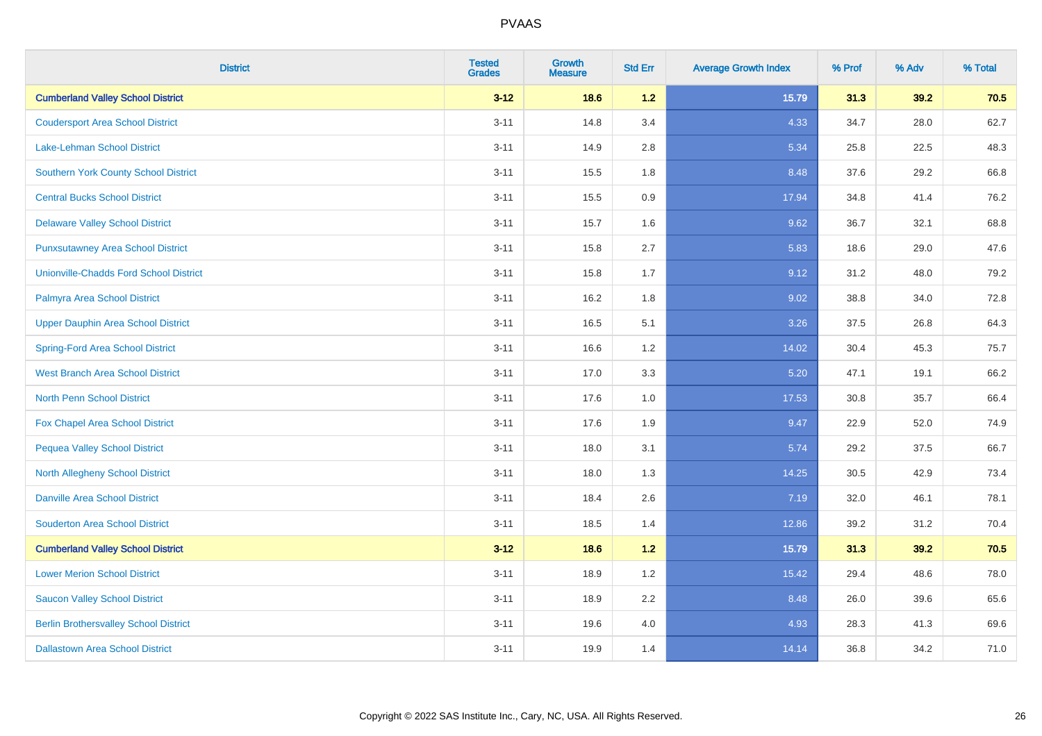| <b>District</b>                               | <b>Tested</b><br><b>Grades</b> | <b>Growth</b><br><b>Measure</b> | <b>Std Err</b> | <b>Average Growth Index</b> | % Prof | % Adv | % Total |
|-----------------------------------------------|--------------------------------|---------------------------------|----------------|-----------------------------|--------|-------|---------|
| <b>Cumberland Valley School District</b>      | $3 - 12$                       | 18.6                            | 1.2            | 15.79                       | 31.3   | 39.2  | 70.5    |
| <b>Coudersport Area School District</b>       | $3 - 11$                       | 14.8                            | 3.4            | 4.33                        | 34.7   | 28.0  | 62.7    |
| <b>Lake-Lehman School District</b>            | $3 - 11$                       | 14.9                            | 2.8            | 5.34                        | 25.8   | 22.5  | 48.3    |
| Southern York County School District          | $3 - 11$                       | 15.5                            | 1.8            | 8.48                        | 37.6   | 29.2  | 66.8    |
| <b>Central Bucks School District</b>          | $3 - 11$                       | 15.5                            | 0.9            | 17.94                       | 34.8   | 41.4  | 76.2    |
| <b>Delaware Valley School District</b>        | $3 - 11$                       | 15.7                            | 1.6            | 9.62                        | 36.7   | 32.1  | 68.8    |
| <b>Punxsutawney Area School District</b>      | $3 - 11$                       | 15.8                            | 2.7            | 5.83                        | 18.6   | 29.0  | 47.6    |
| <b>Unionville-Chadds Ford School District</b> | $3 - 11$                       | 15.8                            | 1.7            | 9.12                        | 31.2   | 48.0  | 79.2    |
| Palmyra Area School District                  | $3 - 11$                       | 16.2                            | 1.8            | 9.02                        | 38.8   | 34.0  | 72.8    |
| <b>Upper Dauphin Area School District</b>     | $3 - 11$                       | 16.5                            | 5.1            | 3.26                        | 37.5   | 26.8  | 64.3    |
| <b>Spring-Ford Area School District</b>       | $3 - 11$                       | 16.6                            | 1.2            | 14.02                       | 30.4   | 45.3  | 75.7    |
| <b>West Branch Area School District</b>       | $3 - 11$                       | 17.0                            | 3.3            | 5.20                        | 47.1   | 19.1  | 66.2    |
| North Penn School District                    | $3 - 11$                       | 17.6                            | $1.0\,$        | 17.53                       | 30.8   | 35.7  | 66.4    |
| Fox Chapel Area School District               | $3 - 11$                       | 17.6                            | 1.9            | 9.47                        | 22.9   | 52.0  | 74.9    |
| <b>Pequea Valley School District</b>          | $3 - 11$                       | 18.0                            | 3.1            | 5.74                        | 29.2   | 37.5  | 66.7    |
| North Allegheny School District               | $3 - 11$                       | 18.0                            | 1.3            | 14.25                       | 30.5   | 42.9  | 73.4    |
| <b>Danville Area School District</b>          | $3 - 11$                       | 18.4                            | 2.6            | 7.19                        | 32.0   | 46.1  | 78.1    |
| <b>Souderton Area School District</b>         | $3 - 11$                       | 18.5                            | 1.4            | 12.86                       | 39.2   | 31.2  | 70.4    |
| <b>Cumberland Valley School District</b>      | $3 - 12$                       | 18.6                            | $1.2$          | 15.79                       | 31.3   | 39.2  | 70.5    |
| <b>Lower Merion School District</b>           | $3 - 11$                       | 18.9                            | 1.2            | 15.42                       | 29.4   | 48.6  | 78.0    |
| <b>Saucon Valley School District</b>          | $3 - 11$                       | 18.9                            | 2.2            | 8.48                        | 26.0   | 39.6  | 65.6    |
| <b>Berlin Brothersvalley School District</b>  | $3 - 11$                       | 19.6                            | 4.0            | 4.93                        | 28.3   | 41.3  | 69.6    |
| <b>Dallastown Area School District</b>        | $3 - 11$                       | 19.9                            | 1.4            | 14.14                       | 36.8   | 34.2  | 71.0    |